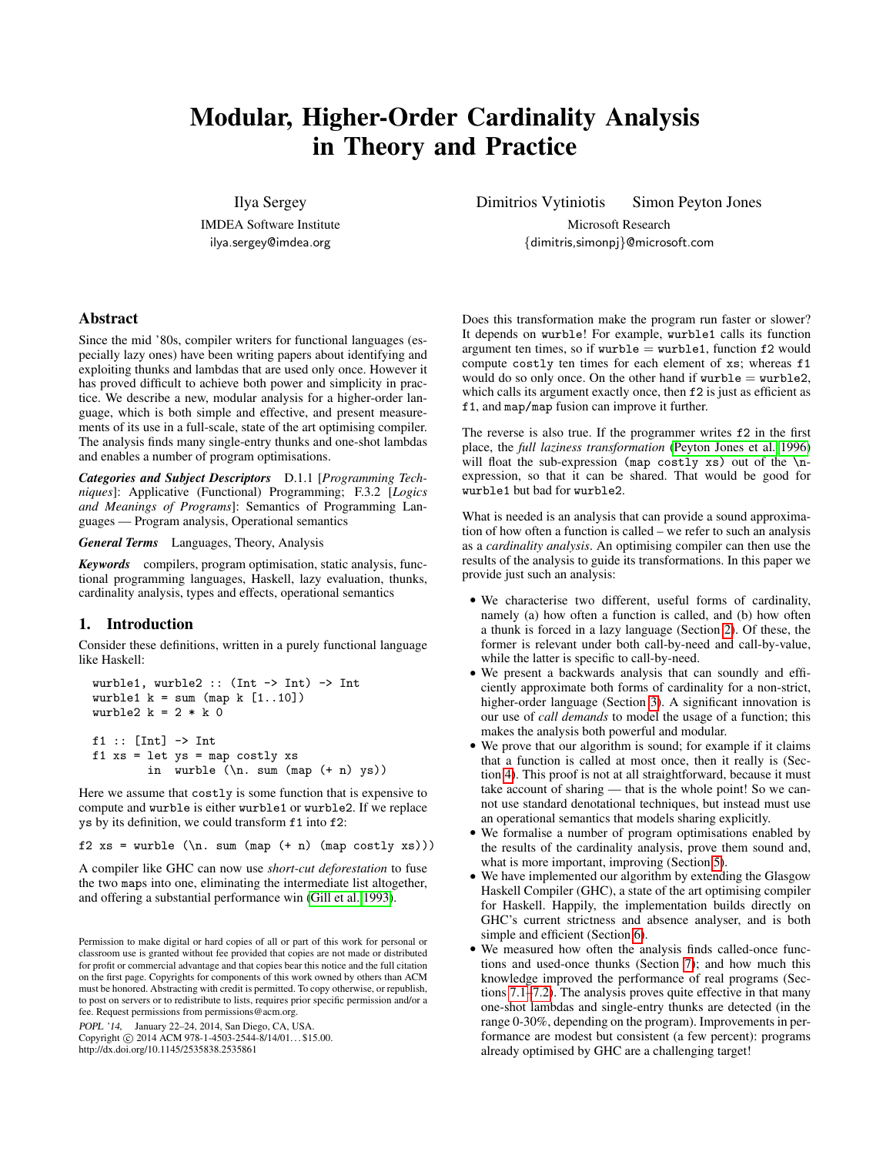# Modular, Higher-Order Cardinality Analysis in Theory and Practice

Ilya Sergey IMDEA Software Institute ilya.sergey@imdea.org

Dimitrios Vytiniotis Simon Peyton Jones

Microsoft Research {dimitris,simonpj}@microsoft.com

# Abstract

Since the mid '80s, compiler writers for functional languages (especially lazy ones) have been writing papers about identifying and exploiting thunks and lambdas that are used only once. However it has proved difficult to achieve both power and simplicity in practice. We describe a new, modular analysis for a higher-order language, which is both simple and effective, and present measurements of its use in a full-scale, state of the art optimising compiler. The analysis finds many single-entry thunks and one-shot lambdas and enables a number of program optimisations.

*Categories and Subject Descriptors* D.1.1 [*Programming Techniques*]: Applicative (Functional) Programming; F.3.2 [*Logics and Meanings of Programs*]: Semantics of Programming Languages — Program analysis, Operational semantics

*General Terms* Languages, Theory, Analysis

*Keywords* compilers, program optimisation, static analysis, functional programming languages, Haskell, lazy evaluation, thunks, cardinality analysis, types and effects, operational semantics

# 1. Introduction

Consider these definitions, written in a purely functional language like Haskell:

```
wurble1, wurble2 :: (Int -> Int) -> Int
wurble1 k = sum (map k [1..10])wurble2 k = 2 * k 0f1 :: [Int] \rightarrow Intf1 xs = let ys = map costly xs
        in wurble (\n\cdot \text{sum (map (+ n) ys)})
```
Here we assume that costly is some function that is expensive to compute and wurble is either wurble1 or wurble2. If we replace ys by its definition, we could transform f1 into f2:

f2  $xs =$  wurble  $(\n\cdot \text{sum (map (+ n) (map costly xs)}))$ 

A compiler like GHC can now use *short-cut deforestation* to fuse the two maps into one, eliminating the intermediate list altogether, and offering a substantial performance win [\(Gill et al. 1993\)](#page-12-0).

POPL '14, January 22–24, 2014, San Diego, CA, USA.

Copyright © 2014 ACM 978-1-4503-2544-8/14/01... \$15.00. http://dx.doi.org/10.1145/2535838.2535861

Does this transformation make the program run faster or slower? It depends on wurble! For example, wurble1 calls its function argument ten times, so if  $wurble = wurble1$ , function  $f2$  would compute costly ten times for each element of xs; whereas f1 would do so only once. On the other hand if  $wurble = wurble2$ , which calls its argument exactly once, then  $f2$  is just as efficient as f1, and map/map fusion can improve it further.

The reverse is also true. If the programmer writes f2 in the first place, the *full laziness transformation* [\(Peyton Jones et al. 1996\)](#page-12-1) will float the sub-expression (map costly xs) out of the  $\n\lambda$ expression, so that it can be shared. That would be good for wurble1 but bad for wurble2.

What is needed is an analysis that can provide a sound approximation of how often a function is called – we refer to such an analysis as a *cardinality analysis*. An optimising compiler can then use the results of the analysis to guide its transformations. In this paper we provide just such an analysis:

- We characterise two different, useful forms of cardinality, namely (a) how often a function is called, and (b) how often a thunk is forced in a lazy language (Section [2\)](#page-1-0). Of these, the former is relevant under both call-by-need and call-by-value, while the latter is specific to call-by-need.
- We present a backwards analysis that can soundly and efficiently approximate both forms of cardinality for a non-strict, higher-order language (Section [3\)](#page-2-0). A significant innovation is our use of *call demands* to model the usage of a function; this makes the analysis both powerful and modular.
- We prove that our algorithm is sound; for example if it claims that a function is called at most once, then it really is (Section [4\)](#page-5-0). This proof is not at all straightforward, because it must take account of sharing — that is the whole point! So we cannot use standard denotational techniques, but instead must use an operational semantics that models sharing explicitly.
- We formalise a number of program optimisations enabled by the results of the cardinality analysis, prove them sound and, what is more important, improving (Section [5\)](#page-7-0).
- We have implemented our algorithm by extending the Glasgow Haskell Compiler (GHC), a state of the art optimising compiler for Haskell. Happily, the implementation builds directly on GHC's current strictness and absence analyser, and is both simple and efficient (Section [6\)](#page-9-0).
- We measured how often the analysis finds called-once functions and used-once thunks (Section [7\)](#page-9-1); and how much this knowledge improved the performance of real programs (Sections [7.1](#page-9-2)[–7.2\)](#page-10-0). The analysis proves quite effective in that many one-shot lambdas and single-entry thunks are detected (in the range 0-30%, depending on the program). Improvements in performance are modest but consistent (a few percent): programs already optimised by GHC are a challenging target!

Permission to make digital or hard copies of all or part of this work for personal or classroom use is granted without fee provided that copies are not made or distributed for profit or commercial advantage and that copies bear this notice and the full citation on the first page. Copyrights for components of this work owned by others than ACM must be honored. Abstracting with credit is permitted. To copy otherwise, or republish, to post on servers or to redistribute to lists, requires prior specific permission and/or a fee. Request permissions from permissions@acm.org.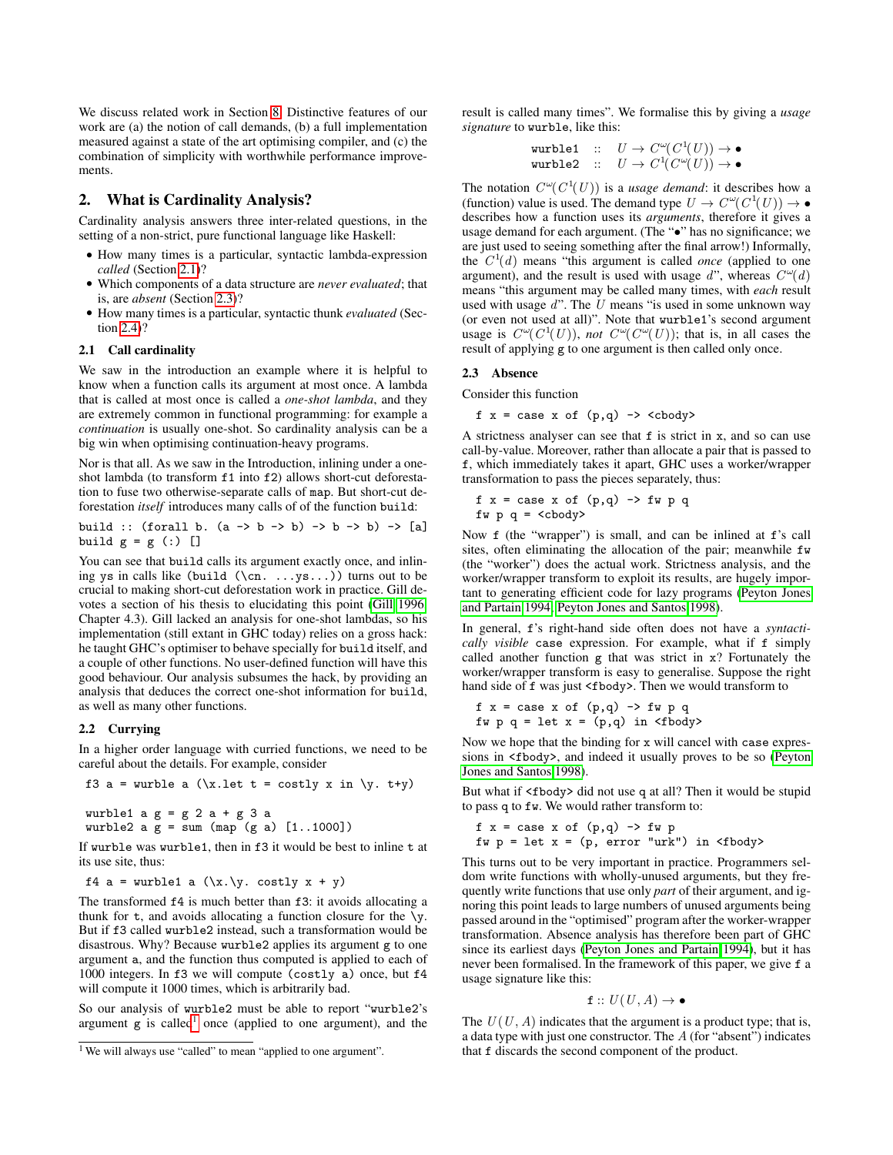We discuss related work in Section [8.](#page-11-0) Distinctive features of our work are (a) the notion of call demands, (b) a full implementation measured against a state of the art optimising compiler, and (c) the combination of simplicity with worthwhile performance improvements.

# <span id="page-1-0"></span>2. What is Cardinality Analysis?

Cardinality analysis answers three inter-related questions, in the setting of a non-strict, pure functional language like Haskell:

- How many times is a particular, syntactic lambda-expression *called* (Section [2.1\)](#page-1-1)?
- Which components of a data structure are *never evaluated*; that is, are *absent* (Section [2.3\)](#page-1-2)?
- How many times is a particular, syntactic thunk *evaluated* (Section [2.4\)](#page-2-1)?

# <span id="page-1-1"></span>2.1 Call cardinality

We saw in the introduction an example where it is helpful to know when a function calls its argument at most once. A lambda that is called at most once is called a *one-shot lambda*, and they are extremely common in functional programming: for example a *continuation* is usually one-shot. So cardinality analysis can be a big win when optimising continuation-heavy programs.

Nor is that all. As we saw in the Introduction, inlining under a oneshot lambda (to transform f1 into f2) allows short-cut deforestation to fuse two otherwise-separate calls of map. But short-cut deforestation *itself* introduces many calls of of the function build:

build :: (forall b. (a -> b -> b) -> b -> b) -> [a]  
build 
$$
g = g
$$
 (:) []

You can see that build calls its argument exactly once, and inlining ys in calls like (build  $(\cn. \ldots, vs. \ldots)$ ) turns out to be crucial to making short-cut deforestation work in practice. Gill devotes a section of his thesis to elucidating this point [\(Gill 1996,](#page-12-2) Chapter 4.3). Gill lacked an analysis for one-shot lambdas, so his implementation (still extant in GHC today) relies on a gross hack: he taught GHC's optimiser to behave specially for build itself, and a couple of other functions. No user-defined function will have this good behaviour. Our analysis subsumes the hack, by providing an analysis that deduces the correct one-shot information for build, as well as many other functions.

#### 2.2 Currying

In a higher order language with curried functions, we need to be careful about the details. For example, consider

f3 a = 
$$
\text{while a } (\x.1et t = costly x in \y. t+y)
$$

wurble1  $a g = g 2 a + g 3 a$ wurble2  $a$   $g = sum (map (g a) [1..1000])$ 

If wurble was wurble1, then in f3 it would be best to inline t at its use site, thus:

f4 a = wurble1 a  $(\x, \y, \costly x + y)$ 

The transformed f4 is much better than f3: it avoids allocating a thunk for  $t$ , and avoids allocating a function closure for the  $\y$ . But if f3 called wurble2 instead, such a transformation would be disastrous. Why? Because wurble2 applies its argument g to one argument a, and the function thus computed is applied to each of  $1000$  integers. In f3 we will compute (costly a) once, but f4 will compute it 1000 times, which is arbitrarily bad.

So our analysis of wurble2 must be able to report "wurble2's argument  $g$  is called<sup>[1](#page-1-3)</sup> once (applied to one argument), and the

result is called many times". We formalise this by giving a *usage signature* to wurble, like this:

$$
\begin{array}{lll} \text{wurble1} & :: & U \to C^\omega(C^1(U)) \to \bullet \\ \text{wurble2} & :: & U \to C^1(C^\omega(U)) \to \bullet \end{array}
$$

The notation  $C^{\omega}(C^1(U))$  is a *usage demand*: it describes how a (function) value is used. The demand type  $U \to C^{\omega}(C^1(U)) \to \bullet$ describes how a function uses its *arguments*, therefore it gives a usage demand for each argument. (The " $\bullet$ " has no significance; we are just used to seeing something after the final arrow!) Informally, the  $C<sup>1</sup>(d)$  means "this argument is called *once* (applied to one argument), and the result is used with usage d", whereas  $C^{\omega}(d)$ means "this argument may be called many times, with *each* result used with usage  $d$ ". The  $U$  means "is used in some unknown way (or even not used at all)". Note that wurble1's second argument usage is  $C^{\omega}(C^1(U))$ , *not*  $C^{\omega}(C^{\omega}(U))$ ; that is, in all cases the result of applying g to one argument is then called only once.

#### <span id="page-1-2"></span>2.3 Absence

Consider this function

 $f$  x = case x of  $(p,q)$  -> <cbody>

A strictness analyser can see that f is strict in x, and so can use call-by-value. Moreover, rather than allocate a pair that is passed to f, which immediately takes it apart, GHC uses a worker/wrapper transformation to pass the pieces separately, thus:

$$
f x = case x of (p,q) \rightarrow fw p q
$$
  
 
$$
f w p q = \text{}
$$

Now f (the "wrapper") is small, and can be inlined at f's call sites, often eliminating the allocation of the pair; meanwhile fw (the "worker") does the actual work. Strictness analysis, and the worker/wrapper transform to exploit its results, are hugely important to generating efficient code for lazy programs [\(Peyton Jones](#page-12-3) [and Partain 1994;](#page-12-3) [Peyton Jones and Santos 1998\)](#page-12-4).

In general, f's right-hand side often does not have a *syntactically visible* case expression. For example, what if f simply called another function g that was strict in x? Fortunately the worker/wrapper transform is easy to generalise. Suppose the right hand side of f was just <fbody>. Then we would transform to

$$
f x = case x of (p,q) \rightarrow fw p q
$$
  
 
$$
f w p q = let x = (p,q) in \text{ (fbody)}
$$

Now we hope that the binding for x will cancel with case expressions in  $\lt$ fbody>, and indeed it usually proves to be so [\(Peyton](#page-12-4) [Jones and Santos 1998\)](#page-12-4).

But what if <fbody> did not use q at all? Then it would be stupid to pass q to fw. We would rather transform to:

$$
f x = case x of (p,q) \rightarrow fw p
$$
  
  $f w p = let x = (p, error "urk") in (fbody>$ 

This turns out to be very important in practice. Programmers seldom write functions with wholly-unused arguments, but they frequently write functions that use only *part* of their argument, and ignoring this point leads to large numbers of unused arguments being passed around in the "optimised" program after the worker-wrapper transformation. Absence analysis has therefore been part of GHC since its earliest days [\(Peyton Jones and Partain 1994\)](#page-12-3), but it has never been formalised. In the framework of this paper, we give f a usage signature like this:

$$
\mathtt{f} :: U(U, A) \to \bullet
$$

The  $U(U, A)$  indicates that the argument is a product type; that is, a data type with just one constructor. The A (for "absent") indicates that f discards the second component of the product.

<span id="page-1-3"></span><sup>1</sup> We will always use "called" to mean "applied to one argument".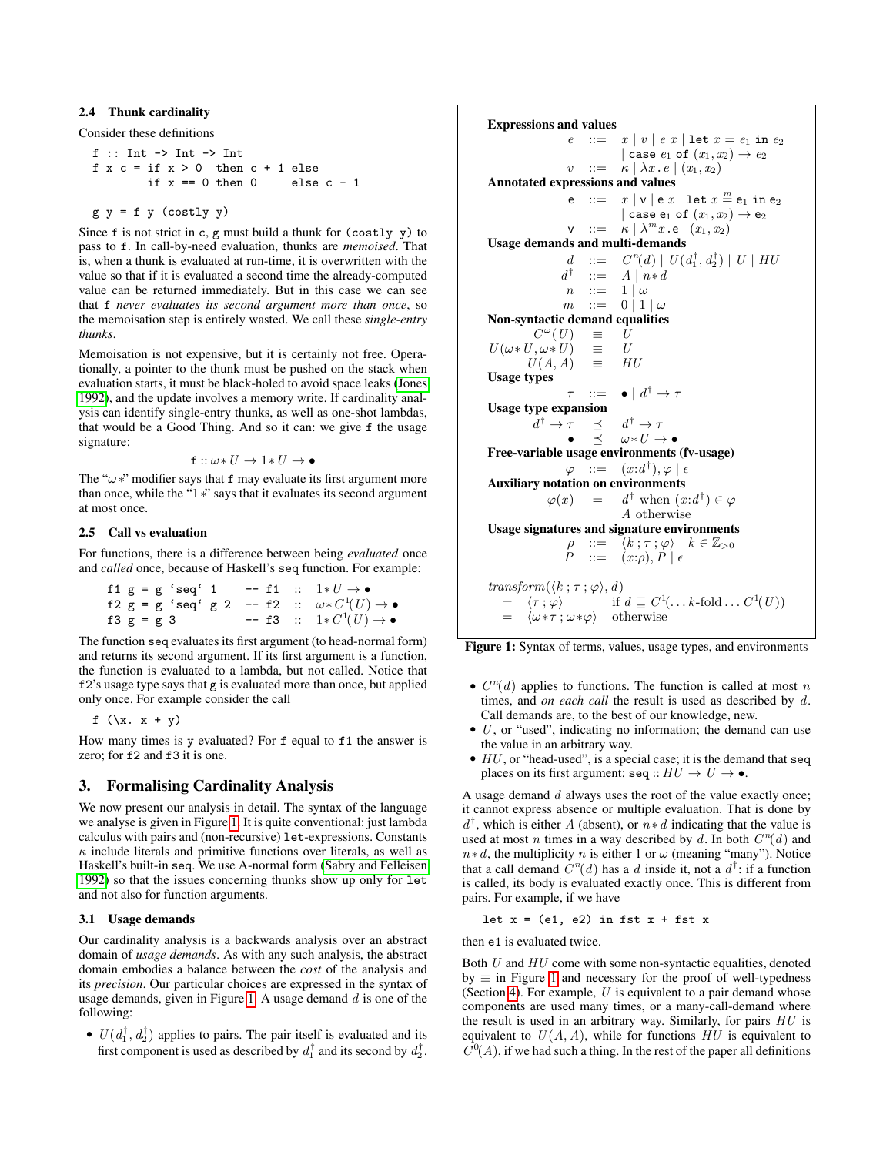# <span id="page-2-1"></span>2.4 Thunk cardinality

Consider these definitions

```
f :: Int -> Int -> Int
f \times c = \text{if } x > 0 \text{ then } c + 1 \text{ else}<br>\text{if } x == 0 \text{ then } 0 \text{ else } c - 1if x == 0 then 0
```

```
g y = f y (costly y)
```
Since f is not strict in c, g must build a thunk for (costly y) to pass to f. In call-by-need evaluation, thunks are *memoised*. That is, when a thunk is evaluated at run-time, it is overwritten with the value so that if it is evaluated a second time the already-computed value can be returned immediately. But in this case we can see that f *never evaluates its second argument more than once*, so the memoisation step is entirely wasted. We call these *single-entry thunks*.

Memoisation is not expensive, but it is certainly not free. Operationally, a pointer to the thunk must be pushed on the stack when evaluation starts, it must be black-holed to avoid space leaks [\(Jones](#page-12-5) [1992\)](#page-12-5), and the update involves a memory write. If cardinality analysis can identify single-entry thunks, as well as one-shot lambdas, that would be a Good Thing. And so it can: we give f the usage signature:

$$
\mathtt{f} :: \omega * U \to 1 * U \to \bullet
$$

The " $\omega$ \*" modifier says that f may evaluate its first argument more than once, while the "1∗" says that it evaluates its second argument at most once.

# 2.5 Call vs evaluation

For functions, there is a difference between being *evaluated* once and *called* once, because of Haskell's seq function. For example:

|              |  | f1 $g = g 'seq' 1$ |  | $--$ f1 :: $1*U \rightarrow \bullet$                                        |
|--------------|--|--------------------|--|-----------------------------------------------------------------------------|
|              |  |                    |  | f2 g = g 'seq' g 2 -- f2 $\therefore$ $\omega * C^1(U) \rightarrow \bullet$ |
| f3 $g = g$ 3 |  |                    |  | $-$ f3 :: $1*C^1(U) \to \bullet$                                            |

The function seq evaluates its first argument (to head-normal form) and returns its second argument. If its first argument is a function, the function is evaluated to a lambda, but not called. Notice that f2's usage type says that g is evaluated more than once, but applied only once. For example consider the call

$$
f(\lambda x. x + y)
$$

How many times is y evaluated? For f equal to f1 the answer is zero; for  $f2$  and  $f3$  it is one.

# <span id="page-2-0"></span>3. Formalising Cardinality Analysis

We now present our analysis in detail. The syntax of the language we analyse is given in Figure [1.](#page-2-2) It is quite conventional: just lambda calculus with pairs and (non-recursive) let-expressions. Constants  $\kappa$  include literals and primitive functions over literals, as well as Haskell's built-in seq. We use A-normal form [\(Sabry and Felleisen](#page-12-6) [1992\)](#page-12-6) so that the issues concerning thunks show up only for let and not also for function arguments.

### 3.1 Usage demands

Our cardinality analysis is a backwards analysis over an abstract domain of *usage demands*. As with any such analysis, the abstract domain embodies a balance between the *cost* of the analysis and its *precision*. Our particular choices are expressed in the syntax of usage demands, given in Figure [1.](#page-2-2) A usage demand  $d$  is one of the following:

•  $U(d_1^{\dagger}, d_2^{\dagger})$  applies to pairs. The pair itself is evaluated and its first component is used as described by  $d_1^{\dagger}$  and its second by  $d_2^{\dagger}$ . <span id="page-2-2"></span>Expressions and values  $e$  ::=  $x | v | e x |$  let  $x = e_1$  in  $e_2$ | case  $e_1$  of  $(x_1, x_2) \rightarrow e_2$  $v$  ::=  $\kappa \mid \lambda x \cdot e \mid (x_1, x_2)$ Annotated expressions and values e : $= x |v|$ e  $x | \text{let } x \stackrel{m}{=} e_1 \text{ in } e_2$ | case  $e_1$  of  $(x_1, x_2) \rightarrow e_2$  $v : :=$  $\kappa \mid \lambda^m x$  . e  $\mid (x_1, x_2)$ Usage demands and multi-demands  $d$  ::=  $\binom{n}{d} \mid U(d_1^{\dagger}, d_2^{\dagger}) \mid U \mid HU$  $d^{\dagger}$ ::=  $A | n * d$  $n : := 1 | \omega$  $m$  ::= 0 | 1 |  $\omega$ Non-syntactic demand equalities  $C^{\omega}(U) = U$  $U(\omega * U, \omega * U) \equiv U$ <br> $U(A, A) \equiv HU$  $U(A, A) \equiv$ Usage types  $\tau$  ::=  $\bullet$  |  $d^{\dagger} \rightarrow \tau$ Usage type expansion  $d^{\dagger} \rightarrow \tau \quad \preceq \quad d$  $d^{\dagger} \rightarrow \tau$  $\bullet \quad \prec \quad \omega * U \to \bullet$ Free-variable usage environments (fv-usage)  $\varphi$  : =  $(x:d^{\dagger}), \varphi \mid \epsilon$ Auxiliary notation on environments  $\varphi(x) = d^{\dagger}$  when  $(x:d^{\dagger}) \in \varphi$ A otherwise Usage signatures and signature environments  $\rho$  ::=  $\langle k ; \tau ; \varphi \rangle$   $k \in \mathbb{Z}_{>0}$  $P$  ::=  $(x:\rho), P \mid \epsilon$ transform $(\langle k ; \tau ; \varphi \rangle, d)$  $= \langle \tau ; \varphi \rangle$  $^{1}(\ldots k\text{-fold}\ldots C^{1}(U))$  $\langle \omega * \tau ; \omega * \varphi \rangle$  otherwise



- $C<sup>n</sup>(d)$  applies to functions. The function is called at most n times, and *on each call* the result is used as described by d. Call demands are, to the best of our knowledge, new.
- $\bullet$  U, or "used", indicating no information; the demand can use the value in an arbitrary way.
- $\bullet$  HU, or "head-used", is a special case; it is the demand that seq places on its first argument:  $\texttt{seq} :: HU \rightarrow U \rightarrow \bullet$ .

A usage demand  $d$  always uses the root of the value exactly once; it cannot express absence or multiple evaluation. That is done by  $d^{\dagger}$ , which is either A (absent), or  $n * d$  indicating that the value is used at most *n* times in a way described by d. In both  $C^n(d)$  and  $n * d$ , the multiplicity n is either 1 or  $\omega$  (meaning "many"). Notice that a call demand  $C<sup>n</sup>(d)$  has a d inside it, not a  $d^{\dagger}$ : if a function is called, its body is evaluated exactly once. This is different from pairs. For example, if we have

let  $x = (e1, e2)$  in fst  $x + f$ st x

then e1 is evaluated twice.

Both  $U$  and  $HU$  come with some non-syntactic equalities, denoted  $by \equiv$  in Figure [1](#page-2-2) and necessary for the proof of well-typedness (Section [4\)](#page-5-0). For example,  $U$  is equivalent to a pair demand whose components are used many times, or a many-call-demand where the result is used in an arbitrary way. Similarly, for pairs HU is equivalent to  $U(A, A)$ , while for functions  $H\overline{U}$  is equivalent to  $C<sup>0</sup>(A)$ , if we had such a thing. In the rest of the paper all definitions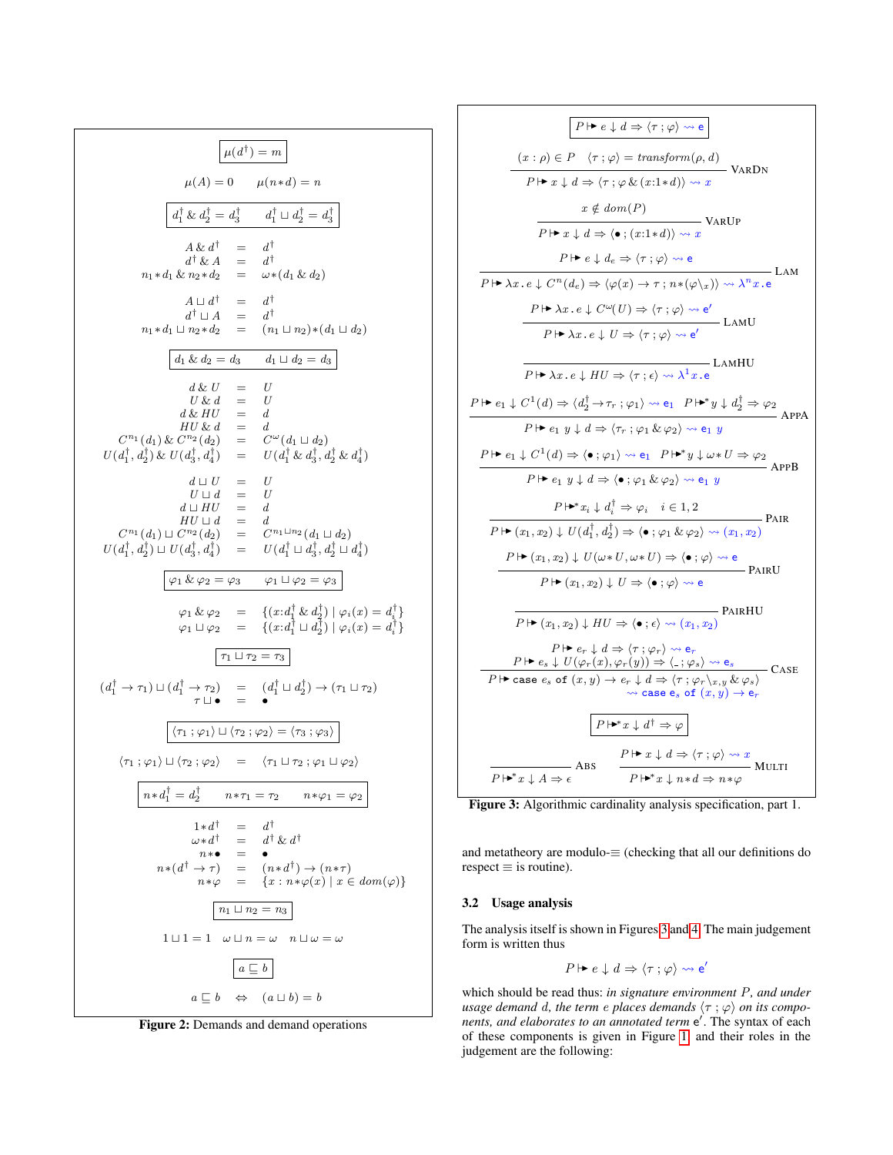<span id="page-3-1"></span>
$$
\mu(A) = 0 \qquad \mu(n*d) = n
$$
\n
$$
\mu(A) = 0 \qquad \mu(n*d) = n
$$
\n
$$
\frac{a_1^{\dagger} \& a_2^{\dagger} = a_3^{\dagger} \qquad a_1^{\dagger} \sqcup a_2^{\dagger} = a_3^{\dagger}}{a_1^{\dagger} \& a_2^{\dagger} = a_3^{\dagger}}
$$
\n
$$
A \& a^{\dagger} = a^{\dagger}
$$
\n
$$
n_1 * a_1 \& n_2 * a_2 = \omega * (a_1 \& a_2)
$$
\n
$$
A \sqcup a_1^{\dagger} = a_1^{\dagger}
$$
\n
$$
n_1 * a_1 \sqcup n_2 * a_2 = (n_1 \sqcup n_2) * (a_1 \sqcup a_2)
$$
\n
$$
\frac{a_1 \& a_2 = a_3 \qquad a_1 \sqcup a_2 = a_3}{a_1 \sqcup a_2 = a_3}
$$
\n
$$
d \& U = U
$$
\n
$$
U \& d = U
$$
\n
$$
U \& d = U
$$
\n
$$
U \& d = U
$$
\n
$$
U \& d = U
$$
\n
$$
U \& d = U
$$
\n
$$
U \& d = U
$$
\n
$$
U \& U \& d = d
$$
\n
$$
U^{\prime \prime} \downarrow d = d
$$
\n
$$
U^{\prime \prime} \downarrow d = d
$$
\n
$$
U^{\prime \prime} \downarrow d = d
$$
\n
$$
U^{\prime \prime} \downarrow d = d
$$
\n
$$
U^{\prime \prime} \downarrow d = d
$$
\n
$$
U^{\prime \prime} \downarrow d = d
$$
\n
$$
U^{\prime \prime} \downarrow d = d
$$
\n
$$
U^{\prime \prime} \downarrow d = d
$$
\n
$$
U^{\prime \prime} \downarrow d = d
$$
\n
$$
U^{\prime \prime} \downarrow d = d
$$
\n
$$
U^{\prime \prime} \downarrow d = d
$$
\n<math display="</math>

Figure 2: Demands and demand operations

<span id="page-3-0"></span>
$$
\boxed{P \mapsto e \downarrow d \Rightarrow (\tau; \varphi) \rightsquigarrow e}
$$
\n
$$
\frac{(x : \rho) \in P \quad \langle \tau; \varphi \rangle = \text{transform}(\rho, d)}{P \mapsto x \downarrow d \Rightarrow \langle \tau; \varphi \& (x : 1 * d) \rangle \rightsquigarrow x} \text{ VARDN}
$$
\n
$$
x \notin \text{dom}(P)
$$
\n
$$
\boxed{P \mapsto x \downarrow d \Rightarrow \langle \bullet; (x : 1 * d) \rangle \rightsquigarrow x} \text{ VARDV}
$$
\n
$$
P \mapsto x \downarrow d \Rightarrow \langle \bullet; (x : 1 * d) \rangle \rightsquigarrow x
$$
\n
$$
\boxed{P \mapsto x \downarrow e \Rightarrow \langle \tau; \varphi \rangle \rightsquigarrow e} \text{LAM}
$$
\n
$$
\boxed{P \mapsto \lambda x \cdot e \downarrow C^n(d_e) \Rightarrow \langle \varphi(x) \rightarrow \tau; n * (\varphi \backslash x) \rangle \rightsquigarrow \lambda^n x \cdot e} \text{LAMU}
$$
\n
$$
\boxed{P \mapsto \lambda x \cdot e \downarrow C^{\omega}(U) \Rightarrow \langle \tau; \varphi \rangle \rightsquigarrow e'} \text{LAMU}
$$
\n
$$
\boxed{P \mapsto \lambda x \cdot e \downarrow HU \Rightarrow \langle \tau; \varphi \rangle \rightsquigarrow e'} \text{LAMHU}
$$
\n
$$
\boxed{P \mapsto \lambda x \cdot e \downarrow HU \Rightarrow \langle \tau; \varphi \rangle \rightsquigarrow e_1} \text{LAMHU}
$$
\n
$$
\boxed{P \mapsto e_1 \downarrow C^1(d) \Rightarrow \langle d_2^{\dagger} \rightarrow \tau; \varphi_1 \rangle \rightsquigarrow e_1 \quad P \mapsto y \downarrow d_2^{\dagger} \Rightarrow \varphi_2} \text{APPA}
$$
\n
$$
\boxed{P \mapsto e_1 \ y \downarrow d \Rightarrow \langle \tau; \varphi_1 \& \varphi_2 \rangle \rightsquigarrow e_1 \ y}
$$
\n
$$
\boxed{P \mapsto e_1 \ y \downarrow d} \Rightarrow \langle \bullet; \varphi_1 \& \varphi_2 \rangle \rightsquigarrow e_1 \ y}
$$
\n
$$
\boxed{P \mapsto e_1 \ y \downarrow d} \Rightarrow \langle \bullet; \varphi_1 \& \varphi_2 \rangle
$$

Figure 3: Algorithmic cardinality analysis specification, part 1.

and metatheory are modulo-≡ (checking that all our definitions do  $respect \equiv is routine$ ).

# 3.2 Usage analysis

The analysis itself is shown in Figures [3](#page-3-0) and [4.](#page-5-1) The main judgement form is written thus

$$
P \mapsto e \downarrow d \Rightarrow \langle \tau : \varphi \rangle \rightsquigarrow e'
$$

which should be read thus: *in signature environment* P*, and under usage demand d, the term e places demands*  $\langle \tau ; \varphi \rangle$  *on its components, and elaborates to an annotated term* e 0 . The syntax of each of these components is given in Figure [1,](#page-2-2) and their roles in the judgement are the following: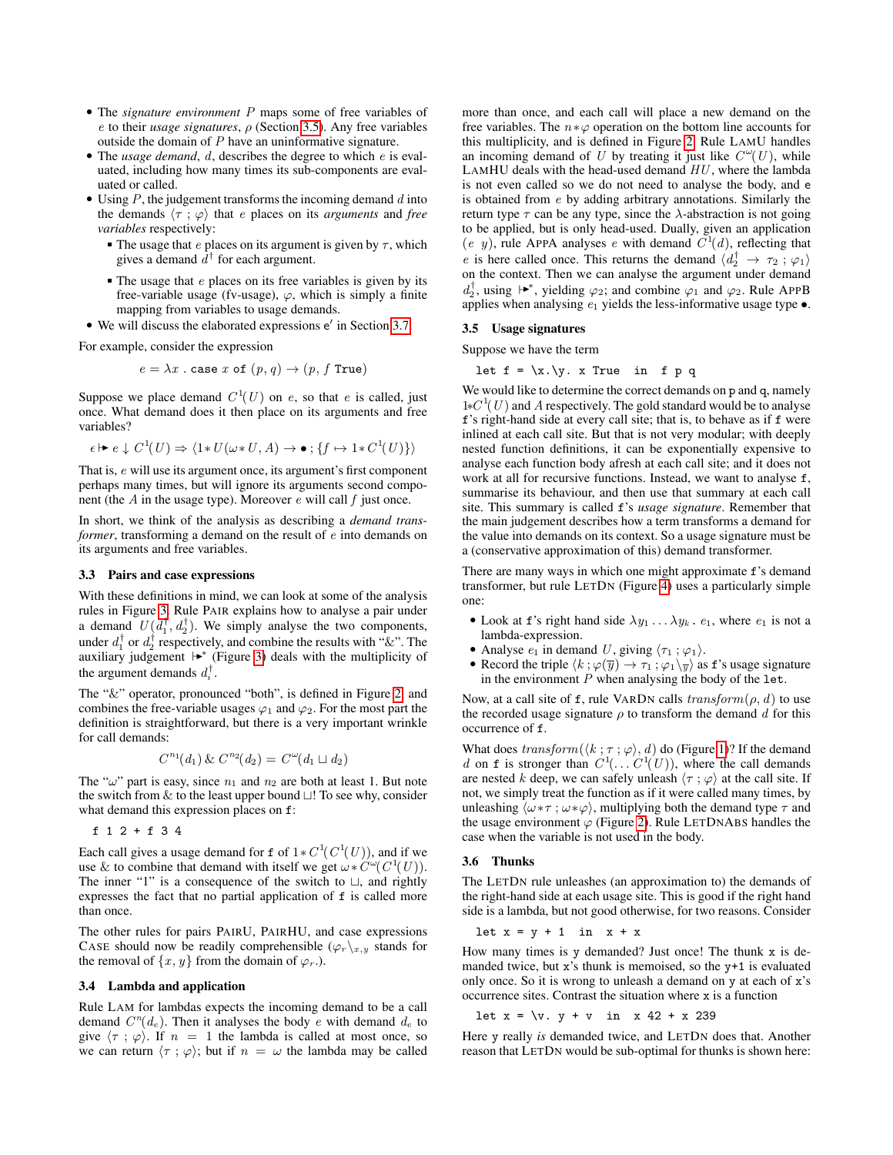- The *signature environment* P maps some of free variables of e to their *usage signatures*, ρ (Section [3.5\)](#page-4-0). Any free variables outside the domain of P have an uninformative signature.
- The *usage demand*, d, describes the degree to which e is evaluated, including how many times its sub-components are evaluated or called.
- Using  $P$ , the judgement transforms the incoming demand  $d$  into the demands  $\langle \tau ; \varphi \rangle$  that *e* places on its *arguments* and *free variables* respectively:
	- The usage that e places on its argument is given by  $\tau$ , which gives a demand  $d^{\dagger}$  for each argument.
	- $\blacksquare$  The usage that *e* places on its free variables is given by its free-variable usage (fv-usage),  $\varphi$ , which is simply a finite mapping from variables to usage demands.
- $\bullet$  We will discuss the elaborated expressions  $e'$  in Section [3.7.](#page-5-2)

For example, consider the expression

$$
e = \lambda x
$$
. case *x* of  $(p, q) \rightarrow (p, f$  True)

Suppose we place demand  $C^1(U)$  on e, so that e is called, just once. What demand does it then place on its arguments and free variables?

$$
\epsilon \mapsto e \downarrow C^1(U) \Rightarrow \langle 1 * U(\omega * U, A) \to \bullet \, ; \, \{f \mapsto 1 * C^1(U)\} \rangle
$$

That is, e will use its argument once, its argument's first component perhaps many times, but will ignore its arguments second component (the  $A$  in the usage type). Moreover  $e$  will call  $f$  just once.

In short, we think of the analysis as describing a *demand transformer*, transforming a demand on the result of e into demands on its arguments and free variables.

#### 3.3 Pairs and case expressions

With these definitions in mind, we can look at some of the analysis rules in Figure [3.](#page-3-0) Rule PAIR explains how to analyse a pair under a demand  $U(d_1^{\dagger}, d_2^{\dagger})$ . We simply analyse the two components, under  $d_1^{\dagger}$  or  $d_2^{\dagger}$  respectively, and combine the results with "&". The auxiliary judgement  $\mapsto$  (Figure [3\)](#page-3-0) deals with the multiplicity of the argument demands  $d_i^{\dagger}$ .

The "&" operator, pronounced "both", is defined in Figure [2,](#page-3-1) and combines the free-variable usages  $\varphi_1$  and  $\varphi_2$ . For the most part the definition is straightforward, but there is a very important wrinkle for call demands:

$$
C^{n_1}(d_1) \& C^{n_2}(d_2) = C^{\omega}(d_1 \sqcup d_2)
$$

The " $\omega$ " part is easy, since  $n_1$  and  $n_2$  are both at least 1. But note the switch from  $&$  to the least upper bound  $\sqcup$ ! To see why, consider what demand this expression places on f:

f 1 2 + f 3 4

Each call gives a usage demand for f of  $1*C^1(C^1(U))$ , and if we use & to combine that demand with itself we get  $\omega * C^{\omega}(C^1(U))$ . The inner "1" is a consequence of the switch to  $\Box$ , and rightly expresses the fact that no partial application of f is called more than once.

The other rules for pairs PAIRU, PAIRHU, and case expressions CASE should now be readily comprehensible  $(\varphi_r\chi_{x,y})$  stands for the removal of  $\{x, y\}$  from the domain of  $\varphi_r$ .).

#### 3.4 Lambda and application

Rule LAM for lambdas expects the incoming demand to be a call demand  $C^n(d_e)$ . Then it analyses the body e with demand  $d_e$  to give  $\langle \tau ; \varphi \rangle$ . If  $n = 1$  the lambda is called at most once, so we can return  $\langle \tau ; \varphi \rangle$ ; but if  $n = \omega$  the lambda may be called more than once, and each call will place a new demand on the free variables. The  $n * \varphi$  operation on the bottom line accounts for this multiplicity, and is defined in Figure [2.](#page-3-1) Rule LAMU handles an incoming demand of U by treating it just like  $C^{\omega}(U)$ , while LAMHU deals with the head-used demand  $HU$ , where the lambda is not even called so we do not need to analyse the body, and e is obtained from e by adding arbitrary annotations. Similarly the return type  $\tau$  can be any type, since the  $\lambda$ -abstraction is not going to be applied, but is only head-used. Dually, given an application (e y), rule APPA analyses e with demand  $C^1(d)$ , reflecting that e is here called once. This returns the demand  $\langle d_2^{\dagger} \rightarrow \tau_2 ; \varphi_1 \rangle$ on the context. Then we can analyse the argument under demand  $d_2^{\dagger}$ , using  $\uparrow \bullet^*$ , yielding  $\varphi_2$ ; and combine  $\varphi_1$  and  $\varphi_2$ . Rule APPB applies when analysing  $e_1$  yields the less-informative usage type  $\bullet$ .

#### <span id="page-4-0"></span>3.5 Usage signatures

Suppose we have the term

let  $f = \{x.\}y.$  x True in f p q

We would like to determine the correct demands on p and q, namely  $1*C<sup>1</sup>(U)$  and A respectively. The gold standard would be to analyse f's right-hand side at every call site; that is, to behave as if f were inlined at each call site. But that is not very modular; with deeply nested function definitions, it can be exponentially expensive to analyse each function body afresh at each call site; and it does not work at all for recursive functions. Instead, we want to analyse f, summarise its behaviour, and then use that summary at each call site. This summary is called f's *usage signature*. Remember that the main judgement describes how a term transforms a demand for the value into demands on its context. So a usage signature must be a (conservative approximation of this) demand transformer.

There are many ways in which one might approximate f's demand transformer, but rule LETDN (Figure [4\)](#page-5-1) uses a particularly simple one:

- Look at f's right hand side  $\lambda y_1 \ldots \lambda y_k$ .  $e_1$ , where  $e_1$  is not a lambda-expression.
- Analyse  $e_1$  in demand U, giving  $\langle \tau_1 ; \varphi_1 \rangle$ .
- Record the triple  $\langle k ; \varphi(\overline{y}) \to \tau_1 ; \varphi_1 \rangle_{\overline{y}}$  as f's usage signature in the environment  $P$  when analysing the body of the let.

Now, at a call site of f, rule VARDN calls  $transform(\rho, d)$  to use the recorded usage signature  $\rho$  to transform the demand d for this occurrence of f.

What does  $transform(\langle k; \tau; \varphi \rangle, d)$  do (Figure [1\)](#page-2-2)? If the demand d on f is stronger than  $C^1(\ldots C^1(U))$ , where the call demands are nested k deep, we can safely unleash  $\langle \tau ; \varphi \rangle$  at the call site. If not, we simply treat the function as if it were called many times, by unleashing  $\langle \omega * \tau ; \omega * \varphi \rangle$ , multiplying both the demand type  $\tau$  and the usage environment  $\varphi$  (Figure [2\)](#page-3-1). Rule LETDNABS handles the case when the variable is not used in the body.

#### 3.6 Thunks

The LETDN rule unleashes (an approximation to) the demands of the right-hand side at each usage site. This is good if the right hand side is a lambda, but not good otherwise, for two reasons. Consider

let  $x = y + 1$  in  $x + x$ 

How many times is y demanded? Just once! The thunk x is demanded twice, but x's thunk is memoised, so the y+1 is evaluated only once. So it is wrong to unleash a demand on y at each of x's occurrence sites. Contrast the situation where x is a function

```
let x = \{v. y + v \in x \mid 42 + x \mid 239\}
```
Here y really *is* demanded twice, and LETDN does that. Another reason that LETDN would be sub-optimal for thunks is shown here: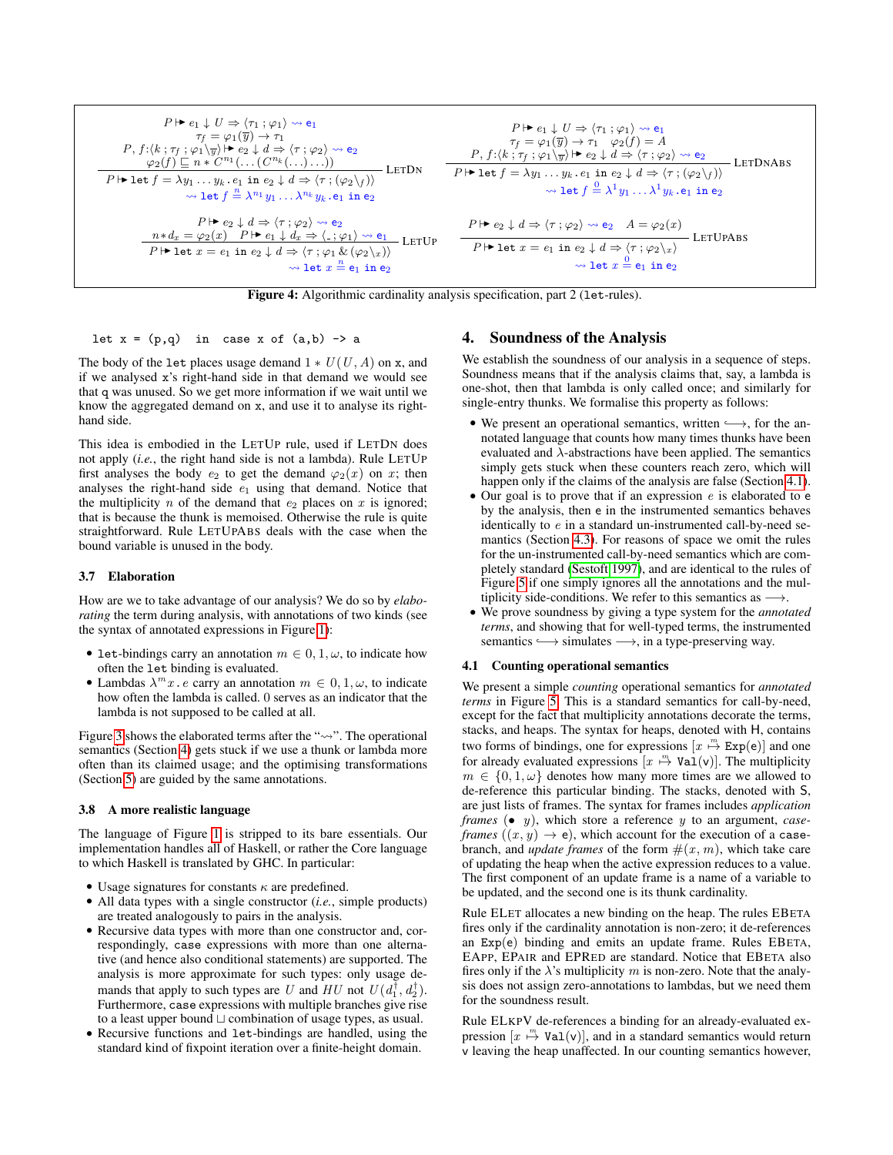<span id="page-5-1"></span>
$$
P \rightharpoonup e_1 \downarrow U \Rightarrow \langle \tau_1; \varphi_1 \rangle \rightsquigarrow e_1
$$
\n
$$
P \rightharpoonup f = \varphi_1(\overline{y}) \rightarrow \tau_1
$$
\n
$$
P, f: \langle k; \tau_f; \varphi_1 \rangle_{\overline{y}} \rangle \rightharpoonup e_2 \downarrow d \Rightarrow \langle \tau; \varphi_2 \rangle \rightsquigarrow e_2
$$
\n
$$
P \rightharpoonup \det f = \lambda y_1 \dots y_k \cdot e_1 \text{ in } e_2 \downarrow d \Rightarrow \langle \tau; \varphi_2 \rangle_{\overline{y}} \rightharpoonup e_2
$$
\n
$$
\Rightarrow \text{let } f = \lambda y_1 \dots y_k \cdot e_1 \text{ in } e_2 \downarrow d \Rightarrow \langle \tau; (\varphi_2 \rangle_f) \rangle
$$
\n
$$
\Rightarrow \text{let } f = \lambda y_1 \dots y_k \cdot e_1 \text{ in } e_2 \downarrow d \Rightarrow \langle \tau; (\varphi_2 \rangle_f) \rangle
$$
\n
$$
\Rightarrow \text{let } f = \lambda y_1 \dots y_k \cdot e_1 \text{ in } e_2 \downarrow d \Rightarrow \langle \tau; (\varphi_2 \rangle_f) \rangle
$$
\n
$$
\Rightarrow \text{let } f = \lambda y_1 \dots y_k \cdot e_1 \text{ in } e_2
$$
\n
$$
P \rightharpoonup \det f = \lambda y_1 \dots \lambda^{n_k} y_k \cdot e_1 \text{ in } e_2
$$
\n
$$
\Rightarrow \text{let } f = \lambda y_1 \dots \lambda y_k \cdot e_1 \text{ in } e_2
$$
\n
$$
\Rightarrow \text{let } f = \lambda y_1 \dots \lambda y_k \cdot e_1 \text{ in } e_2
$$
\n
$$
\Rightarrow \text{let } f = \lambda y_1 \dots \lambda y_k \cdot e_1 \text{ in } e_2
$$
\n
$$
\Rightarrow \text{let } f = \lambda y_1 \dots \lambda y_k \cdot e_1 \text{ in } e_2
$$
\n
$$
\Rightarrow \text{let } f = \lambda y_1 \dots \lambda y_k \cdot e_1 \text{ in } e_2
$$
\n
$$
\Rightarrow \text{let } f = \lambda y_1 \dots \lambda y_k \cdot e_1 \text{ in } e_2
$$
\n<math display="</math>

Figure 4: Algorithmic cardinality analysis specification, part 2 (1et-rules).

let  $x = (p,q)$  in case x of  $(a,b) \rightarrow a$ 

The body of the let places usage demand  $1 * U(U, A)$  on x, and if we analysed x's right-hand side in that demand we would see that q was unused. So we get more information if we wait until we know the aggregated demand on x, and use it to analyse its righthand side.

This idea is embodied in the LETUP rule, used if LETDN does not apply (*i.e.*, the right hand side is not a lambda). Rule LETUP first analyses the body  $e_2$  to get the demand  $\varphi_2(x)$  on x; then analyses the right-hand side  $e_1$  using that demand. Notice that the multiplicity  $n$  of the demand that  $e_2$  places on  $x$  is ignored; that is because the thunk is memoised. Otherwise the rule is quite straightforward. Rule LETUPABS deals with the case when the bound variable is unused in the body.

#### <span id="page-5-2"></span>3.7 Elaboration

How are we to take advantage of our analysis? We do so by *elaborating* the term during analysis, with annotations of two kinds (see the syntax of annotated expressions in Figure [1\)](#page-2-2):

- let-bindings carry an annotation  $m \in [0, 1, \omega]$ , to indicate how often the let binding is evaluated.
- Lambdas  $\lambda^m x$ . *e* carry an annotation  $m \in 0, 1, \omega$ , to indicate how often the lambda is called. 0 serves as an indicator that the lambda is not supposed to be called at all.

Figure [3](#page-3-0) shows the elaborated terms after the " $\rightsquigarrow$ ". The operational semantics (Section [4\)](#page-5-0) gets stuck if we use a thunk or lambda more often than its claimed usage; and the optimising transformations (Section [5\)](#page-7-0) are guided by the same annotations.

#### 3.8 A more realistic language

The language of Figure [1](#page-2-2) is stripped to its bare essentials. Our implementation handles all of Haskell, or rather the Core language to which Haskell is translated by GHC. In particular:

- Usage signatures for constants  $\kappa$  are predefined.
- All data types with a single constructor (*i.e.*, simple products) are treated analogously to pairs in the analysis.
- Recursive data types with more than one constructor and, correspondingly, case expressions with more than one alternative (and hence also conditional statements) are supported. The analysis is more approximate for such types: only usage demands that apply to such types are U and HU not  $U(d_1^{\dagger}, d_2^{\dagger})$ . Furthermore, case expressions with multiple branches give rise to a least upper bound  $\sqcup$  combination of usage types, as usual.
- Recursive functions and let-bindings are handled, using the standard kind of fixpoint iteration over a finite-height domain.

# <span id="page-5-0"></span>4. Soundness of the Analysis

We establish the soundness of our analysis in a sequence of steps. Soundness means that if the analysis claims that, say, a lambda is one-shot, then that lambda is only called once; and similarly for single-entry thunks. We formalise this property as follows:

- We present an operational semantics, written  $\longrightarrow$ , for the annotated language that counts how many times thunks have been evaluated and  $\lambda$ -abstractions have been applied. The semantics simply gets stuck when these counters reach zero, which will happen only if the claims of the analysis are false (Section [4.1\)](#page-5-3).
- Our goal is to prove that if an expression  $e$  is elaborated to  $e$ by the analysis, then e in the instrumented semantics behaves identically to e in a standard un-instrumented call-by-need semantics (Section [4.3\)](#page-6-0). For reasons of space we omit the rules for the un-instrumented call-by-need semantics which are completely standard [\(Sestoft 1997\)](#page-12-7), and are identical to the rules of Figure [5](#page-6-1) if one simply ignores all the annotations and the multiplicity side-conditions. We refer to this semantics as  $\longrightarrow$ .
- We prove soundness by giving a type system for the *annotated terms*, and showing that for well-typed terms, the instrumented semantics  $\longrightarrow$  simulates  $\longrightarrow$ , in a type-preserving way.

#### <span id="page-5-3"></span>4.1 Counting operational semantics

We present a simple *counting* operational semantics for *annotated terms* in Figure [5.](#page-6-1) This is a standard semantics for call-by-need, except for the fact that multiplicity annotations decorate the terms, stacks, and heaps. The syntax for heaps, denoted with H, contains two forms of bindings, one for expressions  $[x \stackrel{m}{\mapsto} \text{Exp}(e)]$  and one for already evaluated expressions  $[x \stackrel{m}{\mapsto} \text{Val}(v)]$ . The multiplicity  $m \in \{0, 1, \omega\}$  denotes how many more times are we allowed to de-reference this particular binding. The stacks, denoted with S, are just lists of frames. The syntax for frames includes *application frames* (• y), which store a reference y to an argument, *caseframes*  $((x, y) \rightarrow e)$ , which account for the execution of a casebranch, and *update frames* of the form  $\#(x, m)$ , which take care of updating the heap when the active expression reduces to a value. The first component of an update frame is a name of a variable to be updated, and the second one is its thunk cardinality.

Rule ELET allocates a new binding on the heap. The rules EBETA fires only if the cardinality annotation is non-zero; it de-references an Exp(e) binding and emits an update frame. Rules EBETA, EAPP, EPAIR and EPRED are standard. Notice that EBETA also fires only if the  $\lambda$ 's multiplicity m is non-zero. Note that the analysis does not assign zero-annotations to lambdas, but we need them for the soundness result.

Rule ELKPV de-references a binding for an already-evaluated expression  $[x \stackrel{m}{\mapsto} \text{Val}(v)]$ , and in a standard semantics would return v leaving the heap unaffected. In our counting semantics however,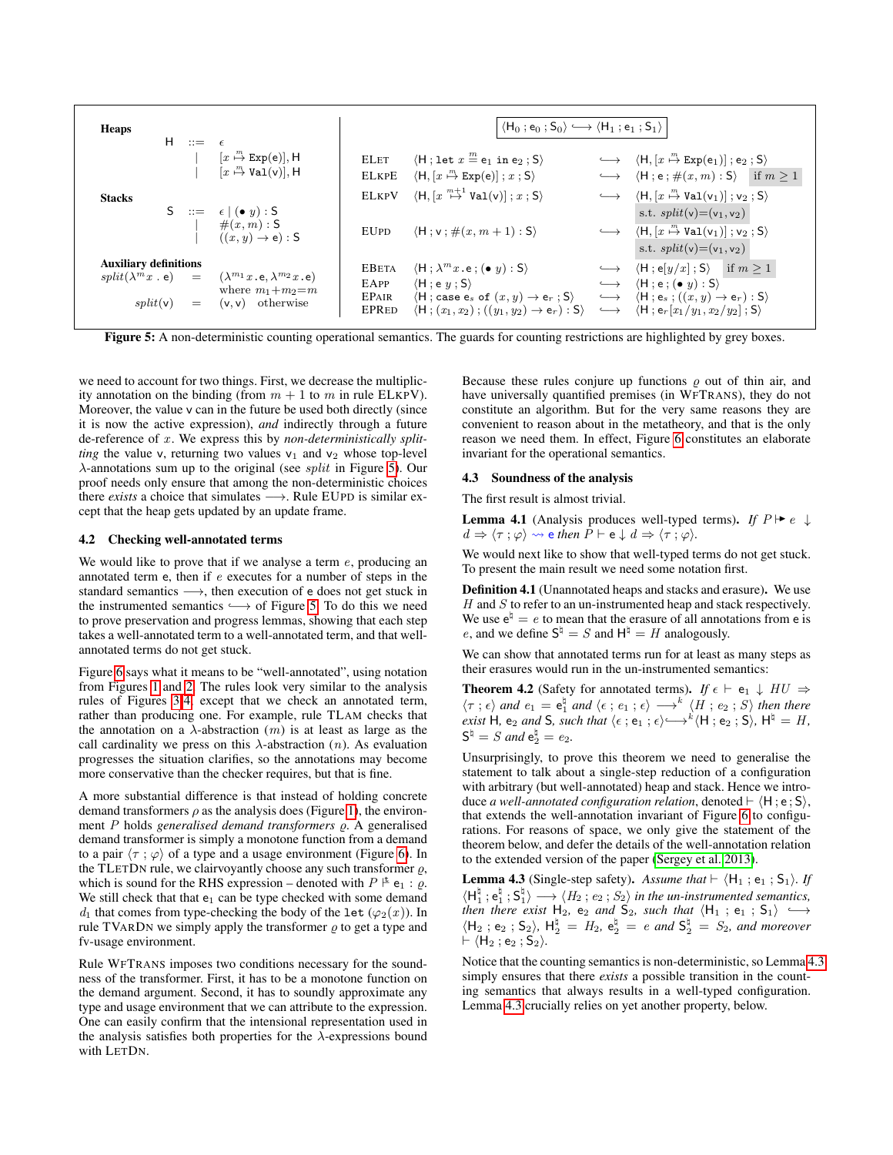<span id="page-6-1"></span>

| Heaps                        | H        | $\mathrel{\mathop:}=$ $\epsilon$ |                                                                                                                              |                                                      | $\langle H_0: e_0: S_0 \rangle \longrightarrow \langle H_1: e_1: S_1 \rangle$                                                                                                                                                                                   |                   |                                                                                                                                                                                                                                                                                                        |
|------------------------------|----------|----------------------------------|------------------------------------------------------------------------------------------------------------------------------|------------------------------------------------------|-----------------------------------------------------------------------------------------------------------------------------------------------------------------------------------------------------------------------------------------------------------------|-------------------|--------------------------------------------------------------------------------------------------------------------------------------------------------------------------------------------------------------------------------------------------------------------------------------------------------|
| <b>Stacks</b>                |          |                                  | $[x \stackrel{m}{\mapsto} Exp(e)], H$<br>$[x \stackrel{m}{\mapsto} \text{Val}(v)], H$                                        | <b>ELET</b><br><b>ELKPE</b><br><b>ELKPV</b>          | $\langle H : \text{let } x \stackrel{m}{=} e_1 \text{ in } e_2 ; S \rangle$<br>$\langle H, [x \stackrel{m}{\mapsto} \text{Exp}(e) ]$ ; $x$ ; S)<br>$\langle H, [x \stackrel{m+1}{\mapsto} \mathtt{Val}(v) ]$ ; $x$ ; S)                                         |                   | $\longleftrightarrow$ $\langle H, [x \stackrel{m}{\mapsto} Exp(e_1) ]$ ; e <sub>2</sub> ; S)<br>$\longleftrightarrow$ $\langle H; e; \#(x, m) : S \rangle$ if $m > 1$<br>$\longleftrightarrow$ $\langle H, [x \stackrel{m}{\mapsto} \text{Val}(v_1)] ; v_2 ; S \rangle$                                |
|                              |          |                                  | S ::= $\epsilon   (\bullet y):$ S<br>$\#(x,m) : S$<br>$((x, y) \rightarrow e)$ : S                                           | <b>EUPD</b>                                          | $\langle H; v; \#(x, m+1): S \rangle$                                                                                                                                                                                                                           |                   | s.t. $split(v)=(v_1, v_2)$<br>$\longleftrightarrow$ $\langle H, [x \stackrel{m}{\mapsto} \text{Val}(v_1) ]$ ; $v_2$ ; S)<br>s.t. $split(v) = (v_1, v_2)$                                                                                                                                               |
| <b>Auxiliary definitions</b> | split(v) | $=$                              | $split(\lambda^m x \cdot e) = (\lambda^{m_1} x \cdot e, \lambda^{m_2} x \cdot e)$<br>where $m_1+m_2=m$<br>$(v, v)$ otherwise | <b>EBETA</b><br>EAPP<br><b>EPAIR</b><br><b>EPRED</b> | $\langle H; \lambda^m x . e; (\bullet y) : S \rangle$<br>$\langle H : e \; y : S \rangle$<br>$\langle H : \text{case } e_s \text{ of } (x, y) \rightarrow e_r : S \rangle \longrightarrow$<br>$\langle H; (x_1, x_2); ((y_1, y_2) \rightarrow e_r) : S \rangle$ | $\longrightarrow$ | $\langle \mathsf{H} ; \mathsf{e}[y/x] ; \mathsf{S} \rangle$ if $m \geq 1$<br>$\longleftrightarrow$ $\langle H : e : (\bullet \, y) : S \rangle$<br>$\langle \mathsf{H} \, ; \, \mathsf{e}_s \, ; \, ((x, y) \rightarrow \mathsf{e}_r) : \mathsf{S} \rangle$<br>$\langle H; e_r[x_1/y_1, x_2/y_2]$ ; S) |

Figure 5: A non-deterministic counting operational semantics. The guards for counting restrictions are highlighted by grey boxes.

we need to account for two things. First, we decrease the multiplicity annotation on the binding (from  $m + 1$  to m in rule ELKPV). Moreover, the value v can in the future be used both directly (since it is now the active expression), *and* indirectly through a future de-reference of x . We express this by *non-deterministically splitting* the value v, returning two values  $v_1$  and  $v_2$  whose top-level  $\lambda$ -annotations sum up to the original (see *split* in Figure [5\)](#page-6-1). Our proof needs only ensure that among the non-deterministic choices there *exists* a choice that simulates →. Rule EUPD is similar except that the heap gets updated by an update frame.

#### 4.2 Checking well-annotated terms

We would like to prove that if we analyse a term  $e$ , producing an annotated term e, then if e executes for a number of steps in the standard semantics →, then execution of e does not get stuck in the instrumented semantics  $\longrightarrow$  of Figure [5.](#page-6-1) To do this we need to prove preservation and progress lemmas, showing that each step takes a well-annotated term to a well-annotated term, and that wellannotated terms do not get stuck.

Figure [6](#page-7-1) says what it means to be "well-annotated", using notation from Figures [1](#page-2-2) and [2.](#page-3-1) The rules look very similar to the analysis rules of Figures [3](#page-3-0)[-4,](#page-5-1) except that we check an annotated term, rather than producing one. For example, rule TLAM checks that the annotation on a  $\lambda$ -abstraction  $(m)$  is at least as large as the call cardinality we press on this  $\lambda$ -abstraction (n). As evaluation progresses the situation clarifies, so the annotations may become more conservative than the checker requires, but that is fine.

A more substantial difference is that instead of holding concrete demand transformers  $\rho$  as the analysis does (Figure [1\)](#page-2-2), the environment P holds *generalised demand transformers*  $\varrho$ . A generalised demand transformer is simply a monotone function from a demand to a pair  $\langle \tau ; \varphi \rangle$  of a type and a usage environment (Figure [6\)](#page-7-1). In the TLETDN rule, we clairvoyantly choose any such transformer  $\rho$ , which is sound for the RHS expression – denoted with  $P \not\vdash e_1 : \varrho$ . We still check that that  $e_1$  can be type checked with some demand  $d_1$  that comes from type-checking the body of the let  $(\varphi_2(x))$ . In rule TVARDN we simply apply the transformer  $\rho$  to get a type and fv-usage environment.

Rule WFTRANS imposes two conditions necessary for the soundness of the transformer. First, it has to be a monotone function on the demand argument. Second, it has to soundly approximate any type and usage environment that we can attribute to the expression. One can easily confirm that the intensional representation used in the analysis satisfies both properties for the  $\lambda$ -expressions bound with LETDN.

Because these rules conjure up functions  $\rho$  out of thin air, and have universally quantified premises (in WFTRANS), they do not constitute an algorithm. But for the very same reasons they are convenient to reason about in the metatheory, and that is the only reason we need them. In effect, Figure [6](#page-7-1) constitutes an elaborate invariant for the operational semantics.

#### <span id="page-6-0"></span>4.3 Soundness of the analysis

The first result is almost trivial.

<span id="page-6-3"></span>**Lemma 4.1** (Analysis produces well-typed terms). *If*  $P \rightharpoonup e \downarrow$  $d \Rightarrow \langle \tau : \varphi \rangle \rightsquigarrow$  e then  $P \vdash e \downarrow d \Rightarrow \langle \tau : \varphi \rangle$ .

We would next like to show that well-typed terms do not get stuck. To present the main result we need some notation first.

Definition 4.1 (Unannotated heaps and stacks and erasure). We use  $H$  and  $S$  to refer to an un-instrumented heap and stack respectively. We use  $e^{\natural} = e$  to mean that the erasure of all annotations from e is e, and we define  $S^{\natural} = S$  and  $H^{\natural} = H$  analogously.

We can show that annotated terms run for at least as many steps as their erasures would run in the un-instrumented semantics:

<span id="page-6-4"></span>**Theorem 4.2** (Safety for annotated terms). *If*  $\epsilon \vdash e_1 \downarrow HU \Rightarrow$  $\langle \tau ; \epsilon \rangle$  and  $e_1 = e_1^{\natural}$  and  $\langle \epsilon ; e_1 ; \epsilon \rangle \longrightarrow^k \langle H ; e_2 ; S \rangle$  then there *exist* H, e<sub>2</sub> and S, such that  $\langle \epsilon ; e_1 ; \epsilon \rangle \rightarrow k \langle H ; e_2 ; S \rangle$ ,  $H^{\natural} = H$ ,  $\mathsf{S}^{\natural} = S$  *and*  $\mathsf{e}_2^{\natural} = e_2$ *.* 

Unsurprisingly, to prove this theorem we need to generalise the statement to talk about a single-step reduction of a configuration with arbitrary (but well-annotated) heap and stack. Hence we introduce *a well-annotated configuration relation*, denoted  $\vdash \langle H : e : S \rangle$ , that extends the well-annotation invariant of Figure [6](#page-7-1) to configurations. For reasons of space, we only give the statement of the theorem below, and defer the details of the well-annotation relation to the extended version of the paper [\(Sergey et al. 2013\)](#page-12-8).

<span id="page-6-2"></span>**Lemma 4.3** (Single-step safety). Assume that  $\vdash \langle H_1; e_1; S_1 \rangle$ . If  $\langle H_1^{\natural}; e_1^{\natural}; S_1^{\natural} \rangle \longrightarrow \langle H_2; e_2; S_2 \rangle$  *in the un-instrumented semantics,*  $\lim_{n \to \infty} \lim_{n \to \infty} \frac{1}{n^2}$ ,  $\lim_{n \to \infty} \frac{1}{n^2}$ ,  $\lim_{n \to \infty} \frac{1}{n^2}$  ,  $\lim_{n \to \infty} \frac{1}{n^2}$ ,  $\lim_{n \to \infty} \frac{1}{n^2}$ ,  $\lim_{n \to \infty} \frac{1}{n^2}$ ,  $\lim_{n \to \infty} \frac{1}{n^2}$ ,  $\lim_{n \to \infty} \frac{1}{n^2}$ ,  $\lim_{n \to \infty} \frac{1}{n^2}$ ,  $\lim$  $\langle H_2 ; e_2 ; S_2 \rangle$ ,  $H_2^{\natural} = H_2$ ,  $e_2^{\natural} = e$  *and*  $S_2^{\natural} = S_2$ *, and moreover*  $\vdash \langle H_2 ; e_2 ; S_2 \rangle.$ 

Notice that the counting semantics is non-deterministic, so Lemma [4.3](#page-6-2) simply ensures that there *exists* a possible transition in the counting semantics that always results in a well-typed configuration. Lemma [4.3](#page-6-2) crucially relies on yet another property, below.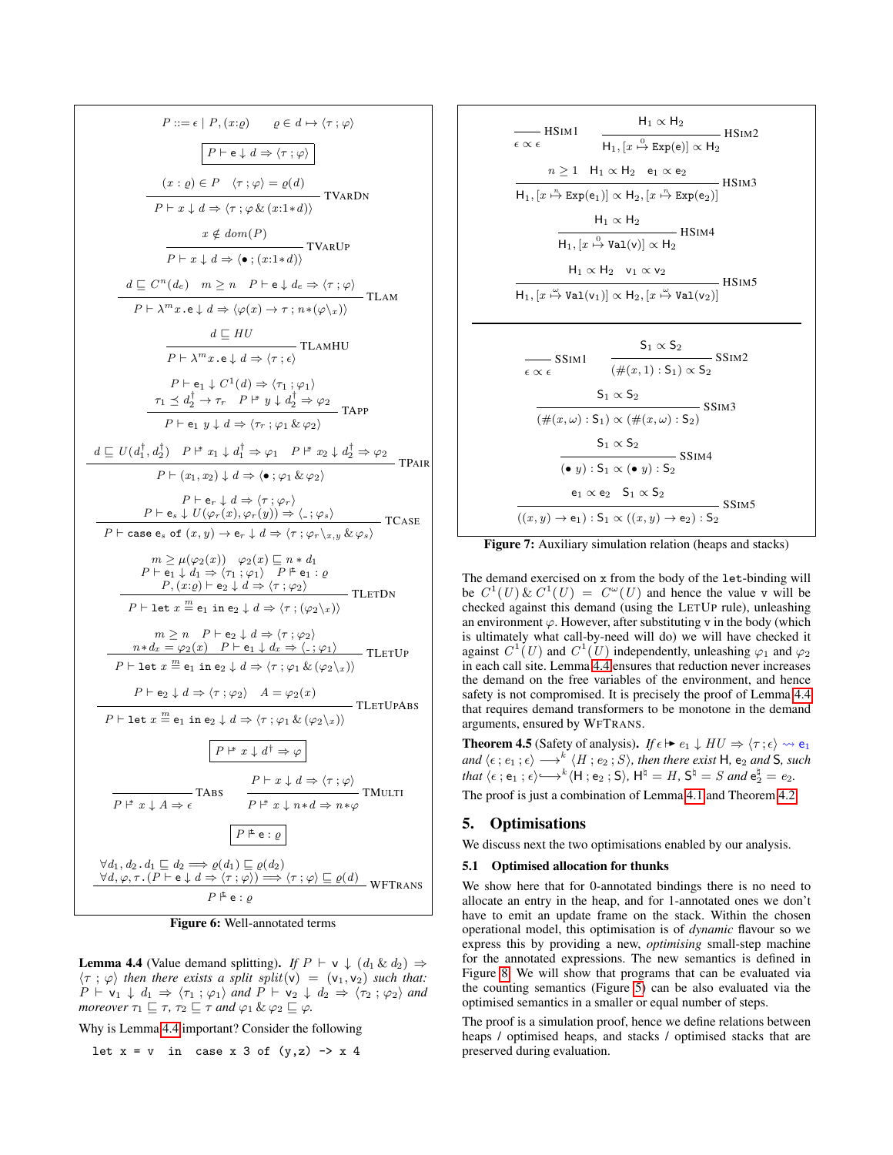<span id="page-7-1"></span>
$$
P ::= \epsilon | P, (x:\varrho) \qquad \varrho \in d \mapsto \langle \tau, \varphi \rangle
$$
\n
$$
\boxed{P \vdash e \downarrow d \Rightarrow \langle \tau, \varphi \rangle}
$$
\n
$$
\boxed{(x : \varrho) \in P \quad \langle \tau, \varphi \rangle = \varrho(d)}
$$
\n
$$
\boxed{(x : \varrho) \in P \quad \langle \tau, \varphi \rangle = \varrho(d)}
$$
\n
$$
\boxed{P \vdash x \downarrow d \Rightarrow \langle \tau, \varphi \& (x : 1 * d) \rangle} \text{TVaRDN}
$$
\n
$$
\frac{x \notin dom(P)}{P \vdash x \downarrow d \Rightarrow \langle \bullet, (x : 1 * d) \rangle} \text{TVaRDP}
$$
\n
$$
\frac{d \subseteq C^n(d_e) \quad m \ge n \quad P \vdash e \downarrow d_e \Rightarrow \langle \tau, \varphi \rangle}{P \vdash \lambda^m x \cdot e \downarrow d \Rightarrow \langle \varphi(x) \to \tau, n * (\varphi \setminus x) \rangle} \text{TLAMHU}
$$
\n
$$
\frac{d \subseteq HU}{P \vdash \lambda^m x \cdot e \downarrow d \Rightarrow \langle \tau, \varphi \rangle} \text{TLAMHU}
$$
\n
$$
\frac{\tau_1 \le d_2^{\dagger} \to \tau_1 \quad P \vdash y \downarrow d_2^{\dagger} \Rightarrow \varphi_2}{P \vdash e_1 \downarrow C^1(d) \Rightarrow \langle \tau, \varphi \rangle \quad \text{TAPP}
$$
\n
$$
\frac{\tau_1 \le d_2^{\dagger} \to \tau_1 \quad P \vdash y \downarrow d_2^{\dagger} \Rightarrow \varphi_2}{P \vdash e_1 \quad y \downarrow d \Rightarrow \langle \tau, \varphi \rangle \quad \text{RPP}} \text{TRAP}
$$
\n
$$
\frac{P \vdash e_1 \downarrow C^1(\varphi, \varphi, \varphi, \varphi, \varphi)}{P \vdash e_1 \quad y \downarrow d \Rightarrow \langle \tau, \varphi \rangle \quad \text{RPP}} \text{TCASE}
$$
\n
$$
\frac{P \vdash e_1 \downarrow C^1(\varphi, \varphi, \varphi, \varphi)}{P \vdash \varrho \quad \varrho} \text{LCB} \text{PLB} \text{PLB} \text{PLB} \text{PL
$$

Figure 6: Well-annotated terms

<span id="page-7-2"></span>**Lemma 4.4** (Value demand splitting). *If*  $P \vdash v \downarrow (d_1 \& d_2) \Rightarrow$  $\langle \tau ; \varphi \rangle$  *then there exists a split split*(v) = (v<sub>1</sub>, v<sub>2</sub>) *such that:*  $P \vdash v_1 \downarrow d_1 \Rightarrow \langle \tau_1 ; \varphi_1 \rangle$  and  $P \vdash v_2 \downarrow d_2 \Rightarrow \langle \tau_2 ; \varphi_2 \rangle$  and *moreover*  $\tau_1 \sqsubseteq \tau$ ,  $\tau_2 \sqsubseteq \tau$  *and*  $\varphi_1 \& \varphi_2 \sqsubseteq \varphi$ *.* 

Why is Lemma [4.4](#page-7-2) important? Consider the following

$$
let x = v in case x 3 of (y, z) \rightarrow x 4
$$

<span id="page-7-3"></span>
$$
\frac{H_1 \propto H_2}{\epsilon \propto \epsilon}
$$
HSIM1  
\n
$$
\frac{H_1 \propto H_2}{H_1, [x \stackrel{\alpha}{\rightarrow} \text{Exp}(e)] \propto H_2}
$$
HSIM2  
\n
$$
n \ge 1
$$
 H<sub>1</sub>  $\propto$  H<sub>2</sub> e<sub>1</sub>  $\propto$  e<sub>2</sub>  
\n
$$
\frac{H_1 \propto H_2}{H_1, [x \stackrel{\alpha}{\rightarrow} \text{Exp}(e_1)] \propto H_2, [x \stackrel{\pi}{\rightarrow} \text{Exp}(e_2)]}
$$
HSIM3  
\n
$$
\frac{H_1 \propto H_2}{H_1, [x \stackrel{\alpha}{\rightarrow} \text{Val}(v)] \propto H_2}
$$
HSIM4  
\n
$$
\frac{H_1 \propto H_2 \quad v_1 \propto v_2}{H_1, [x \stackrel{\alpha}{\rightarrow} \text{Val}(v_1)] \propto H_2, [x \stackrel{\alpha}{\rightarrow} \text{Val}(v_2)]}
$$
HSIM5  
\n
$$
\frac{S_1 \propto S_2}{\epsilon \propto \epsilon}
$$
SSIM1  
\n
$$
\frac{S_1 \propto S_2}{(\#(x, 1) : S_1) \propto (\#(x, \omega) : S_2)}
$$
SSIM3  
\n
$$
\frac{S_1 \propto S_2}{(\bullet y) : S_1 \propto (\bullet y) : S_2}
$$
SSIM4  
\n
$$
\frac{e_1 \propto e_2 \quad S_1 \propto S_2}{(x, y) \rightarrow e_1) : S_1 \propto ((x, y) \rightarrow e_2) : S_2}
$$
SSIM5

Figure 7: Auxiliary simulation relation (heaps and stacks)

The demand exercised on x from the body of the let-binding will be  $C^1(U) \& C^1(U) = C^{\omega}(U)$  and hence the value v will be checked against this demand (using the LETUP rule), unleashing an environment  $\varphi$ . However, after substituting v in the body (which is ultimately what call-by-need will do) we will have checked it against  $C^1(U)$  and  $C^1(U)$  independently, unleashing  $\varphi_1$  and  $\varphi_2$ in each call site. Lemma [4.4](#page-7-2) ensures that reduction never increases the demand on the free variables of the environment, and hence safety is not compromised. It is precisely the proof of Lemma [4.4](#page-7-2) that requires demand transformers to be monotone in the demand arguments, ensured by WFTRANS.

<span id="page-7-4"></span>**Theorem 4.5** (Safety of analysis). *If*  $\epsilon \mapsto e_1 \downarrow HU \Rightarrow \langle \tau : \epsilon \rangle \rightsquigarrow e_1$  $and \ \langle \epsilon \, ; \, e_1 \, ; \epsilon \rangle \longrightarrow^k \langle H \, ; \, e_2 \, ; S \rangle,$  then there exist **H**,  $\mathsf{e}_2$  and **S**, such  $that \langle \epsilon \, ; \, e_1 \, ; \, \epsilon \rangle \longleftrightarrow^k \langle H \, ; \, e_2 \, ; \, S \rangle, \, H^\natural = H, \, S^\natural = S \; and \, e_2^\natural = e_2.$ 

The proof is just a combination of Lemma [4.1](#page-6-3) and Theorem [4.2.](#page-6-4)

# <span id="page-7-0"></span>5. Optimisations

We discuss next the two optimisations enabled by our analysis.

#### 5.1 Optimised allocation for thunks

We show here that for 0-annotated bindings there is no need to allocate an entry in the heap, and for 1-annotated ones we don't have to emit an update frame on the stack. Within the chosen operational model, this optimisation is of *dynamic* flavour so we express this by providing a new, *optimising* small-step machine for the annotated expressions. The new semantics is defined in Figure [8.](#page-8-0) We will show that programs that can be evaluated via the counting semantics (Figure [5\)](#page-6-1) can be also evaluated via the optimised semantics in a smaller or equal number of steps.

The proof is a simulation proof, hence we define relations between heaps / optimised heaps, and stacks / optimised stacks that are preserved during evaluation.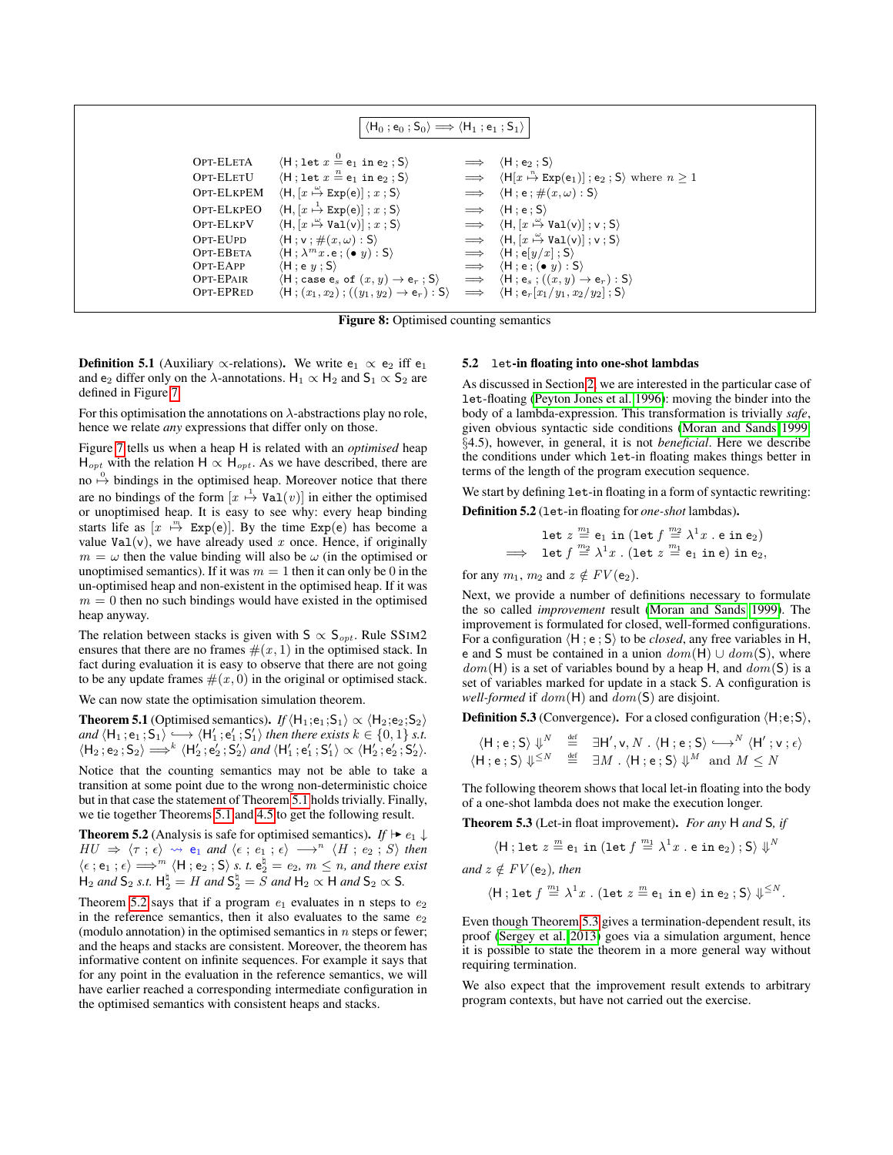<span id="page-8-0"></span>

|            | $\langle H_0; e_0; S_0 \rangle \Longrightarrow \langle H_1; e_1; S_1 \rangle$                                                    |            |                                                                                              |
|------------|----------------------------------------------------------------------------------------------------------------------------------|------------|----------------------------------------------------------------------------------------------|
| OPT-ELETA  | $\langle H : \text{let } x \stackrel{0}{=} e_1 \text{ in } e_2 ; S \rangle$                                                      |            | $\implies$ $\langle H; e_2; S \rangle$                                                       |
| OPT-ELETU  | $\langle H : \text{let } x \stackrel{n}{=} e_1 \text{ in } e_2 ; S \rangle$                                                      |            | $\implies$ $\langle H[x \stackrel{n}{\mapsto} Exp(e_1)   ; e_2 ; S \rangle$ where $n \geq 1$ |
| OPT-ELKPEM | $\langle H, [x \stackrel{\omega}{\mapsto} \text{Exp}(e) ]$ ; $x$ ; S)                                                            |            | $\implies$ $\langle H; e; \#(x,\omega): S \rangle$                                           |
| OPT-ELKPEO | $\langle H, [x \stackrel{1}{\mapsto} \text{Exp}(e) ]$ ; $x$ ; S)                                                                 |            | $\implies$ $\langle H; e; S \rangle$                                                         |
| OPT-ELKPV  | $\langle H, [x \stackrel{\omega}{\mapsto} \text{Val}(v) ]$ ; $x$ ; S)                                                            |            | $\implies$ $\langle H, [x \stackrel{\omega}{\mapsto} \text{Val}(v)] ; v ; S \rangle$         |
| OPT-EUPD   | $\langle H; v; \#(x,\omega): S \rangle$                                                                                          |            | $\implies$ $\langle H, [x \stackrel{\omega}{\mapsto} \text{Val}(v)] ; v ; S \rangle$         |
| OPT-EBETA  | $\langle H : \lambda^m x . e : (\bullet \, y) : S \rangle$                                                                       | $\implies$ | $\langle \mathsf{H} \, ; \mathsf{e}[y/x] \, ; \mathsf{S} \rangle$                            |
| OPT-EAPP   | $\langle H : e \; y : S \rangle$                                                                                                 | $\implies$ | $\langle H; e; (\bullet y) : S \rangle$                                                      |
| OPT-EPAIR  | $\langle \mathsf{H} \, ; \, \mathsf{case}\; \mathrm{e}_s\; \mathsf{of}\; (x,y) \rightarrow \mathrm{e}_r \; ; \mathsf{S} \rangle$ | $\implies$ | $\langle \mathsf{H}\,;\mathsf{e}_s\,;\, ((x,y)\rightarrow \mathsf{e}_r)\,;\mathsf{S}\rangle$ |
| OPT-EPRED  | $\langle H; (x_1, x_2); ((y_1, y_2) \to e_r) : S \rangle$                                                                        | $\implies$ | $\langle H; e_r[x_1/y_1, x_2/y_2]$ ; S)                                                      |
|            |                                                                                                                                  |            |                                                                                              |

Figure 8: Optimised counting semantics

**Definition 5.1** (Auxiliary  $\propto$ -relations). We write  $e_1 \propto e_2$  iff  $e_1$ and e<sub>2</sub> differ only on the  $\lambda$ -annotations. H<sub>1</sub>  $\propto$  H<sub>2</sub> and S<sub>1</sub>  $\propto$  S<sub>2</sub> are defined in Figure [7.](#page-7-3)

For this optimisation the annotations on  $\lambda$ -abstractions play no role, hence we relate *any* expressions that differ only on those.

Figure [7](#page-7-3) tells us when a heap H is related with an *optimised* heap  $H_{opt}$  with the relation H  $\propto H_{opt}$ . As we have described, there are no  $\stackrel{0}{\mapsto}$  bindings in the optimised heap. Moreover notice that there are no bindings of the form  $[x \stackrel{1}{\mapsto} \text{Val}(v)]$  in either the optimised or unoptimised heap. It is easy to see why: every heap binding starts life as  $[x \stackrel{m}{\mapsto} \text{Exp}(e)]$ . By the time  $\text{Exp}(e)$  has become a value Val(v), we have already used x once. Hence, if originally  $m = \omega$  then the value binding will also be  $\omega$  (in the optimised or unoptimised semantics). If it was  $m = 1$  then it can only be 0 in the un-optimised heap and non-existent in the optimised heap. If it was  $m = 0$  then no such bindings would have existed in the optimised heap anyway.

The relation between stacks is given with  $S \propto S_{opt}$ . Rule SSIM2 ensures that there are no frames  $\#(x, 1)$  in the optimised stack. In fact during evaluation it is easy to observe that there are not going to be any update frames  $\#(x, 0)$  in the original or optimised stack.

We can now state the optimisation simulation theorem.

<span id="page-8-1"></span>**Theorem 5.1** (Optimised semantics). *If*  $\langle H_1; e_1; S_1 \rangle \propto \langle H_2; e_2; S_2 \rangle$  $and \langle H_1; e_1; S_1 \rangle \longrightarrow \langle H'_1; e'_1; S'_1 \rangle$  then there exists  $k \in \{0, 1\}$  s.t.  $\langle H_2, e_2, S_2 \rangle \Longrightarrow^k \langle H'_2, e'_2, S'_2 \rangle$  and  $\langle H'_1, e'_1, S'_1 \rangle \propto \langle H'_2, e'_2, S'_2 \rangle$ .

Notice that the counting semantics may not be able to take a transition at some point due to the wrong non-deterministic choice but in that case the statement of Theorem [5.1](#page-8-1) holds trivially. Finally, we tie together Theorems [5.1](#page-8-1) and [4.5](#page-7-4) to get the following result.

<span id="page-8-2"></span>**Theorem 5.2** (Analysis is safe for optimised semantics). *If*  $\vdash e_1 \downarrow$  $HU \Rightarrow \langle \tau ; \epsilon \rangle \rightsquigarrow e_1$  and  $\langle \epsilon ; e_1 ; \epsilon \rangle \longrightarrow^n \langle H ; e_2 ; S \rangle$  then  $\langle \epsilon : e_1 : \epsilon \rangle \Longrightarrow^m \langle H : e_2 : S \rangle \text{ s. } t. e_2^{\natural} = e_2, m \leq n, \text{ and there exist}$  $H_2$  *and*  $S_2$  *s.t.*  $H_2^{\dagger} = H$  *and*  $S_2^{\dagger} = S$  *and*  $H_2 \propto H$  *and*  $S_2 \propto S$ *.* 

Theorem [5.2](#page-8-2) says that if a program  $e_1$  evaluates in n steps to  $e_2$ in the reference semantics, then it also evaluates to the same  $e_2$ (modulo annotation) in the optimised semantics in  $n$  steps or fewer; and the heaps and stacks are consistent. Moreover, the theorem has informative content on infinite sequences. For example it says that for any point in the evaluation in the reference semantics, we will have earlier reached a corresponding intermediate configuration in the optimised semantics with consistent heaps and stacks.

#### <span id="page-8-4"></span>5.2 let-in floating into one-shot lambdas

As discussed in Section [2,](#page-1-0) we are interested in the particular case of let-floating [\(Peyton Jones et al. 1996\)](#page-12-1): moving the binder into the body of a lambda-expression. This transformation is trivially *safe*, given obvious syntactic side conditions [\(Moran and Sands 1999,](#page-12-9) §4.5), however, in general, it is not *beneficial*. Here we describe the conditions under which let-in floating makes things better in terms of the length of the program execution sequence.

We start by defining  $let-in$  floating in a form of syntactic rewriting: Definition 5.2 (let-in floating for *one-shot* lambdas).

$$
\begin{array}{rcl}\n\text{let } z \stackrel{m_1}{=} \mathsf{e}_1 \text{ in } (\text{let } f \stackrel{m_2}{=} \lambda^1 x \text{ . e in } \mathsf{e}_2) \\
\implies \text{ let } f \stackrel{m_2}{=} \lambda^1 x \text{ . } (\text{let } z \stackrel{m_1}{=} \mathsf{e}_1 \text{ in } \mathsf{e}) \text{ in } \mathsf{e}_2,\n\end{array}
$$

for any  $m_1$ ,  $m_2$  and  $z \notin FV(e_2)$ .

Next, we provide a number of definitions necessary to formulate the so called *improvement* result [\(Moran and Sands 1999\)](#page-12-9). The improvement is formulated for closed, well-formed configurations. For a configuration  $\langle H; e; S \rangle$  to be *closed*, any free variables in H, e and S must be contained in a union  $dom(H) \cup dom(S)$ , where  $dom(H)$  is a set of variables bound by a heap H, and  $dom(S)$  is a set of variables marked for update in a stack S. A configuration is *well-formed* if dom(H) and dom(S) are disjoint.

**Definition 5.3** (Convergence). For a closed configuration  $\langle H;e;S \rangle$ ,

$$
\langle \mathsf{H} ; \mathsf{e} ; \mathsf{S} \rangle \Downarrow^{N} \stackrel{\text{def}}{=} \exists \mathsf{H}', \mathsf{v}, N \ . \ \langle \mathsf{H} ; \mathsf{e} ; \mathsf{S} \rangle \longleftrightarrow^{N} \langle \mathsf{H}' ; \mathsf{v} ; \epsilon \rangle
$$
\n
$$
\langle \mathsf{H} ; \mathsf{e} ; \mathsf{S} \rangle \Downarrow^{\leq N} \stackrel{\text{def}}{=} \exists M \ . \ \langle \mathsf{H} ; \mathsf{e} ; \mathsf{S} \rangle \Downarrow^{M} \text{ and } M \leq N
$$

The following theorem shows that local let-in floating into the body of a one-shot lambda does not make the execution longer.

<span id="page-8-3"></span>Theorem 5.3 (Let-in float improvement). *For any* H *and* S*, if*

$$
\langle \mathsf{H} ; \mathsf{let} \ z \stackrel{m}{=} \mathsf{e}_1 \ \mathsf{in} \ (\mathsf{let} \ f \stackrel{m_1}{=} \lambda^1 x \ . \ \mathsf{e} \ \mathsf{in} \ \mathsf{e}_2) \ ; \mathsf{S} \rangle \ \Downarrow^N
$$

*and*  $z \notin FV(e_2)$ *, then* 

$$
\langle \mathsf{H}\,;\,\mathtt{let}\,f\stackrel{m_1}{\equiv}\lambda^1x\;.\;(\mathtt{let}\,z\stackrel{m}{\equiv}\mathtt{e}_1\;\mathtt{in}\,\mathtt{e})\;\mathtt{in}\,\mathtt{e}_2\;;\mathsf{S}\rangle\;\Downarrow^{\leq N}.
$$

Even though Theorem [5.3](#page-8-3) gives a termination-dependent result, its proof [\(Sergey et al. 2013\)](#page-12-8) goes via a simulation argument, hence it is possible to state the theorem in a more general way without requiring termination.

We also expect that the improvement result extends to arbitrary program contexts, but have not carried out the exercise.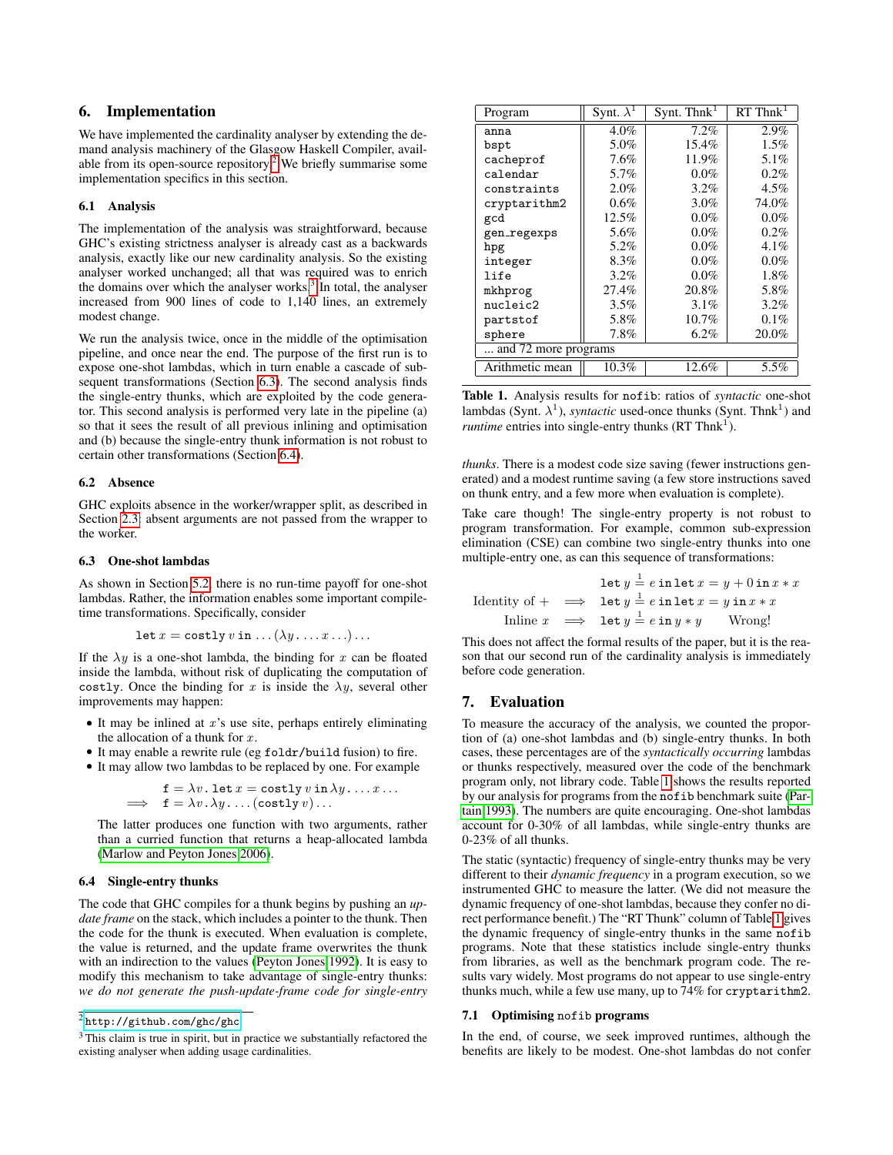# <span id="page-9-0"></span>6. Implementation

We have implemented the cardinality analyser by extending the demand analysis machinery of the Glasgow Haskell Compiler, available from its open-source repository.<sup> $\tilde{2}$  $\tilde{2}$  $\tilde{2}$ </sup> We briefly summarise some implementation specifics in this section.

#### 6.1 Analysis

The implementation of the analysis was straightforward, because GHC's existing strictness analyser is already cast as a backwards analysis, exactly like our new cardinality analysis. So the existing analyser worked unchanged; all that was required was to enrich the domains over which the analyser works. $3$  In total, the analyser increased from 900 lines of code to 1,140 lines, an extremely modest change.

We run the analysis twice, once in the middle of the optimisation pipeline, and once near the end. The purpose of the first run is to expose one-shot lambdas, which in turn enable a cascade of subsequent transformations (Section [6.3\)](#page-9-5). The second analysis finds the single-entry thunks, which are exploited by the code generator. This second analysis is performed very late in the pipeline (a) so that it sees the result of all previous inlining and optimisation and (b) because the single-entry thunk information is not robust to certain other transformations (Section [6.4\)](#page-9-6).

### 6.2 Absence

GHC exploits absence in the worker/wrapper split, as described in Section [2.3:](#page-1-2) absent arguments are not passed from the wrapper to the worker.

#### <span id="page-9-5"></span>6.3 One-shot lambdas

As shown in Section [5.2,](#page-8-4) there is no run-time payoff for one-shot lambdas. Rather, the information enables some important compiletime transformations. Specifically, consider

$$
\text{let } x = \text{costly } v \text{ in } \dots (\lambda y \dots x \dots) \dots
$$

If the  $\lambda y$  is a one-shot lambda, the binding for x can be floated inside the lambda, without risk of duplicating the computation of costly. Once the binding for x is inside the  $\lambda y$ , several other improvements may happen:

- $\bullet$  It may be inlined at  $x$ 's use site, perhaps entirely eliminating the allocation of a thunk for  $x$ .
- It may enable a rewrite rule (eg foldr/build fusion) to fire.

• It may allow two lambdas to be replaced by one. For example

$$
\begin{array}{rcl}\n\mathbf{f} &= \lambda v \cdot \mathbf{let} \, x = \mathbf{costly} \, v \, \mathbf{in} \, \lambda y \, \dots \, x \, \dots \\
\implies & \mathbf{f} = \lambda v \, \lambda y \, \dots \, (\mathbf{costly} \, v) \, \dots\n\end{array}
$$

The latter produces one function with two arguments, rather than a curried function that returns a heap-allocated lambda [\(Marlow and Peyton Jones 2006\)](#page-12-10).

# <span id="page-9-6"></span>6.4 Single-entry thunks

The code that GHC compiles for a thunk begins by pushing an *update frame* on the stack, which includes a pointer to the thunk. Then the code for the thunk is executed. When evaluation is complete, the value is returned, and the update frame overwrites the thunk with an indirection to the values [\(Peyton Jones 1992\)](#page-12-11). It is easy to modify this mechanism to take advantage of single-entry thunks: *we do not generate the push-update-frame code for single-entry*

| Program              | Synt. $\overline{\lambda^1}$ | Synt. Think <sup><math>\perp</math></sup> | $RT$ Thnk <sup>1</sup> |
|----------------------|------------------------------|-------------------------------------------|------------------------|
| anna                 | 4.0%                         | 7.2%                                      | 2.9%                   |
| bspt                 | 5.0%                         | $15.4\%$                                  | $1.5\%$                |
| cacheprof            | 7.6%                         | 11.9%                                     | 5.1%                   |
| calendar             | 5.7%                         | $0.0\%$                                   | $0.2\%$                |
| constraints          | $2.0\%$                      | $3.2\%$                                   | $4.5\%$                |
| cryptarithm2         | $0.6\%$                      | $3.0\%$                                   | 74.0%                  |
| gcd                  | 12.5%                        | $0.0\%$                                   | $0.0\%$                |
| gen_regexps          | 5.6%                         | $0.0\%$                                   | $0.2\%$                |
| hpg                  | 5.2%                         | $0.0\%$                                   | 4.1%                   |
| integer              | 8.3%                         | $0.0\%$                                   | $0.0\%$                |
| life                 | $3.2\%$                      | $0.0\%$                                   | $1.8\%$                |
| mkhprog              | 27.4%                        | 20.8%                                     | 5.8%                   |
| nucleic2             | $3.5\%$                      | $3.1\%$                                   | $3.2\%$                |
| partstof             | 5.8%                         | $10.7\%$                                  | $0.1\%$                |
| sphere               | $7.8\%$                      | $6.2\%$                                   | 20.0%                  |
| and 72 more programs |                              |                                           |                        |
| Arithmetic mean      | 10.3%                        | 12.6%                                     | 5.5%                   |

<span id="page-9-7"></span>Table 1. Analysis results for nofib: ratios of *syntactic* one-shot lambdas (Synt.  $\lambda^1$ ), *syntactic* used-once thunks (Synt. Thnk<sup>1</sup>) and *runtime* entries into single-entry thunks  $(RT Thnk<sup>1</sup>)$ .

*thunks*. There is a modest code size saving (fewer instructions generated) and a modest runtime saving (a few store instructions saved on thunk entry, and a few more when evaluation is complete).

Take care though! The single-entry property is not robust to program transformation. For example, common sub-expression elimination (CSE) can combine two single-entry thunks into one multiple-entry one, as can this sequence of transformations:

|  | let $y = e$ in let $x = y + 0$ in $x * x$                      |  |
|--|----------------------------------------------------------------|--|
|  | Identity of $+ \implies$ let $y = e$ in let $x = y$ in $x * x$ |  |
|  | In line $x \implies$ let $y = e$ in $y * y$ Wrong!             |  |

This does not affect the formal results of the paper, but it is the reason that our second run of the cardinality analysis is immediately before code generation.

# <span id="page-9-1"></span>7. Evaluation

To measure the accuracy of the analysis, we counted the proportion of (a) one-shot lambdas and (b) single-entry thunks. In both cases, these percentages are of the *syntactically occurring* lambdas or thunks respectively, measured over the code of the benchmark program only, not library code. Table [1](#page-9-7) shows the results reported by our analysis for programs from the nofib benchmark suite [\(Par](#page-12-12)[tain 1993\)](#page-12-12). The numbers are quite encouraging. One-shot lambdas account for 0-30% of all lambdas, while single-entry thunks are 0-23% of all thunks.

The static (syntactic) frequency of single-entry thunks may be very different to their *dynamic frequency* in a program execution, so we instrumented GHC to measure the latter. (We did not measure the dynamic frequency of one-shot lambdas, because they confer no direct performance benefit.) The "RT Thunk" column of Table [1](#page-9-7) gives the dynamic frequency of single-entry thunks in the same nofib programs. Note that these statistics include single-entry thunks from libraries, as well as the benchmark program code. The results vary widely. Most programs do not appear to use single-entry thunks much, while a few use many, up to 74% for cryptarithm2.

#### <span id="page-9-2"></span>7.1 Optimising nofib programs

In the end, of course, we seek improved runtimes, although the benefits are likely to be modest. One-shot lambdas do not confer

<span id="page-9-3"></span> $\sqrt[2]{\hbox{http://github.com/ghc/ghc}}$  $\sqrt[2]{\hbox{http://github.com/ghc/ghc}}$  $\sqrt[2]{\hbox{http://github.com/ghc/ghc}}$ 

<span id="page-9-4"></span><sup>&</sup>lt;sup>3</sup> This claim is true in spirit, but in practice we substantially refactored the existing analyser when adding usage cardinalities.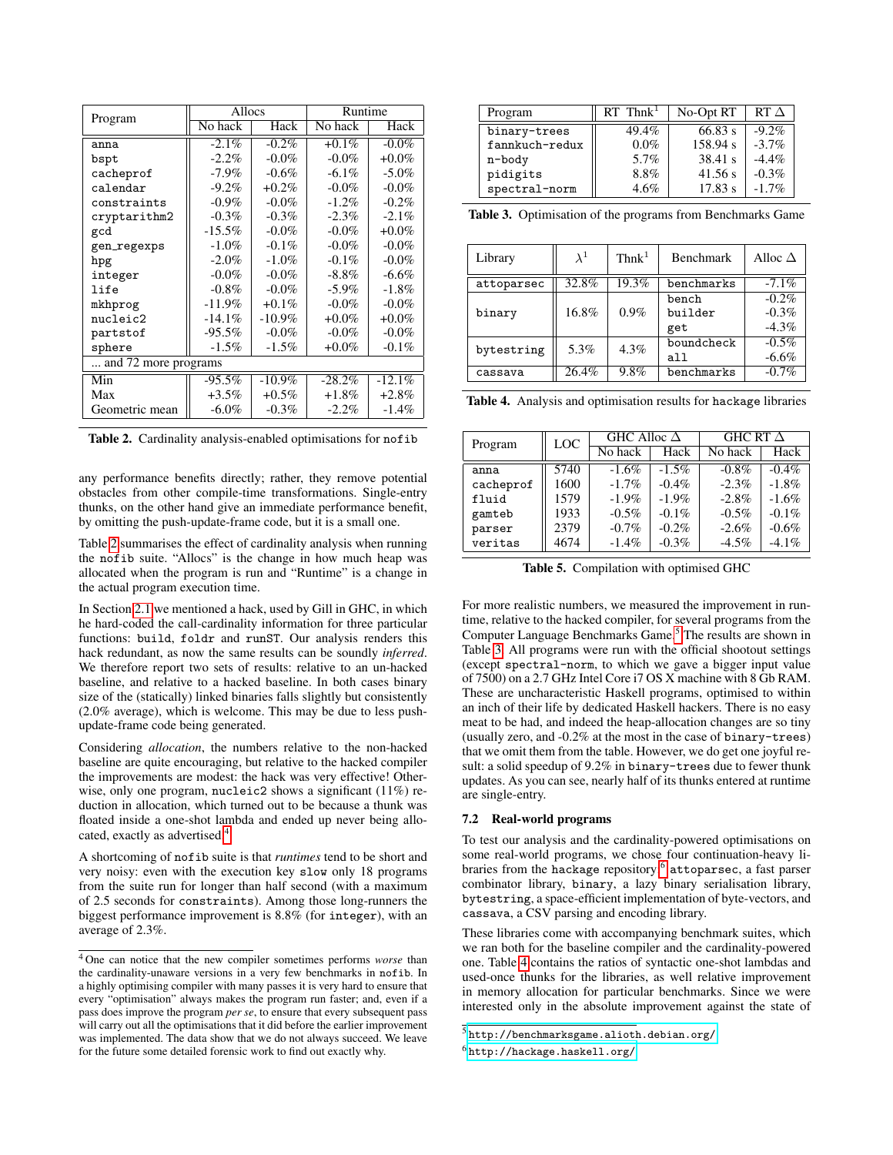|                      | Allocs    |           | Runtime  |          |  |
|----------------------|-----------|-----------|----------|----------|--|
| Program              | No hack   | Hack      | No hack  | Hack     |  |
| anna                 | $-2.1\%$  | $-0.2\%$  | $+0.1\%$ | $-0.0\%$ |  |
| bspt                 | $-2.2\%$  | $-0.0\%$  | $-0.0\%$ | $+0.0\%$ |  |
| cacheprof            | $-7.9\%$  | $-0.6\%$  | $-6.1\%$ | $-5.0\%$ |  |
| calendar             | $-9.2\%$  | $+0.2\%$  | $-0.0\%$ | $-0.0\%$ |  |
| constraints          | $-0.9\%$  | $-0.0\%$  | $-1.2\%$ | $-0.2\%$ |  |
| cryptarithm2         | $-0.3\%$  | $-0.3\%$  | $-2.3\%$ | $-2.1\%$ |  |
| gcd                  | $-15.5\%$ | $-0.0\%$  | $-0.0\%$ | $+0.0\%$ |  |
| gen_regexps          | $-1.0\%$  | $-0.1\%$  | $-0.0\%$ | $-0.0\%$ |  |
| hpg                  | $-2.0\%$  | $-1.0\%$  | $-0.1\%$ | $-0.0\%$ |  |
| integer              | $-0.0\%$  | $-0.0\%$  | $-8.8\%$ | $-6.6\%$ |  |
| life                 | $-0.8\%$  | $-0.0\%$  | $-5.9\%$ | $-1.8\%$ |  |
| mkhprog              | $-11.9\%$ | $+0.1\%$  | $-0.0\%$ | $-0.0\%$ |  |
| nucleic2             | $-14.1\%$ | $-10.9\%$ | $+0.0\%$ | $+0.0\%$ |  |
| partstof             | $-95.5\%$ | $-0.0\%$  | $-0.0\%$ | $-0.0\%$ |  |
| sphere               | $-1.5\%$  | $-1.5\%$  | $+0.0\%$ | $-0.1\%$ |  |
| and 72 more programs |           |           |          |          |  |
| Min                  | $-95.5%$  | $-10.9\%$ | $-28.2%$ | $-12.1%$ |  |
| Max                  | $+3.5\%$  | $+0.5\%$  | $+1.8\%$ | $+2.8\%$ |  |
| Geometric mean       | $-6.0\%$  | $-0.3\%$  | $-2.2\%$ | $-1.4\%$ |  |

<span id="page-10-1"></span>Table 2. Cardinality analysis-enabled optimisations for nofib

any performance benefits directly; rather, they remove potential obstacles from other compile-time transformations. Single-entry thunks, on the other hand give an immediate performance benefit, by omitting the push-update-frame code, but it is a small one.

Table [2](#page-10-1) summarises the effect of cardinality analysis when running the nofib suite. "Allocs" is the change in how much heap was allocated when the program is run and "Runtime" is a change in the actual program execution time.

In Section [2.1](#page-1-1) we mentioned a hack, used by Gill in GHC, in which he hard-coded the call-cardinality information for three particular functions: build, foldr and runST. Our analysis renders this hack redundant, as now the same results can be soundly *inferred*. We therefore report two sets of results: relative to an un-hacked baseline, and relative to a hacked baseline. In both cases binary size of the (statically) linked binaries falls slightly but consistently (2.0% average), which is welcome. This may be due to less pushupdate-frame code being generated.

Considering *allocation*, the numbers relative to the non-hacked baseline are quite encouraging, but relative to the hacked compiler the improvements are modest: the hack was very effective! Otherwise, only one program, nucleic2 shows a significant (11%) reduction in allocation, which turned out to be because a thunk was floated inside a one-shot lambda and ended up never being allocated, exactly as advertised.[4](#page-10-2)

A shortcoming of nofib suite is that *runtimes* tend to be short and very noisy: even with the execution key slow only 18 programs from the suite run for longer than half second (with a maximum of 2.5 seconds for constraints). Among those long-runners the biggest performance improvement is 8.8% (for integer), with an average of 2.3%.

| Program        | $RT$ Thnk <sup>1</sup> | No-Opt RT | $RT \Lambda$ |
|----------------|------------------------|-----------|--------------|
| binary-trees   | 49.4%                  | 66.83 s   | $-9.2\%$     |
| fannkuch-redux | $0.0\%$                | 158.94 s  | $-3.7\%$     |
| n-body         | 5.7%                   | 38.41 s   | $-4.4\%$     |
| pidigits       | 8.8%                   | 41.56 s   | $-0.3\%$     |
| spectral-norm  | 4.6%                   | 17.83 s   | $-1.7\%$     |

<span id="page-10-4"></span>Table 3. Optimisation of the programs from Benchmarks Game

| Library    | $\lambda^1$ | $Thnk^{\perp}$ | <b>Benchmark</b> | Alloc $\Delta$ |
|------------|-------------|----------------|------------------|----------------|
| attoparsec | 32.8%       | 19.3%          | benchmarks       | $-7.1\%$       |
|            |             |                | bench            | $-0.2\%$       |
| binary     | 16.8%       | $0.9\%$        | builder          | $-0.3\%$       |
|            |             |                | get              | $-4.3\%$       |
|            | 5.3%        | 4.3%           | boundcheck       | $-0.5\%$       |
| bytestring |             |                | all              | $-6.6\%$       |
| cassava    | 26.4%       | 9.8%           | benchmarks       | $-0.7%$        |

<span id="page-10-6"></span>Table 4. Analysis and optimisation results for hackage libraries

| Program   | <b>LOC</b> | GHC Alloc $\Delta$ |          | GHC RT $\Delta$ |          |  |
|-----------|------------|--------------------|----------|-----------------|----------|--|
|           |            | No hack<br>Hack    |          | No hack         | Hack     |  |
| anna      | 5740       | $-1.6\%$           | $-1.5\%$ | $-0.8\%$        | $-0.4\%$ |  |
| cacheprof | 1600       | $-1.7\%$           | $-0.4%$  | $-2.3\%$        | $-1.8%$  |  |
| fluid     | 1579       | $-1.9\%$           | $-1.9\%$ | $-2.8\%$        | $-1.6%$  |  |
| gamteb    | 1933       | $-0.5\%$           | $-0.1\%$ | $-0.5\%$        | $-0.1\%$ |  |
| parser    | 2379       | $-0.7\%$           | $-0.2\%$ | $-2.6%$         | $-0.6\%$ |  |
| veritas   | 4674       | $-1.4\%$           | $-0.3\%$ | $-4.5\%$        | $-4.1\%$ |  |

<span id="page-10-7"></span>Table 5. Compilation with optimised GHC

For more realistic numbers, we measured the improvement in runtime, relative to the hacked compiler, for several programs from the Computer Language Benchmarks Game.<sup>[5](#page-10-3)</sup> The results are shown in Table [3.](#page-10-4) All programs were run with the official shootout settings (except spectral-norm, to which we gave a bigger input value of 7500) on a 2.7 GHz Intel Core i7 OS X machine with 8 Gb RAM. These are uncharacteristic Haskell programs, optimised to within an inch of their life by dedicated Haskell hackers. There is no easy meat to be had, and indeed the heap-allocation changes are so tiny (usually zero, and -0.2% at the most in the case of binary-trees) that we omit them from the table. However, we do get one joyful result: a solid speedup of 9.2% in binary-trees due to fewer thunk updates. As you can see, nearly half of its thunks entered at runtime are single-entry.

#### <span id="page-10-0"></span>7.2 Real-world programs

To test our analysis and the cardinality-powered optimisations on some real-world programs, we chose four continuation-heavy li-braries from the hackage repository:<sup>[6](#page-10-5)</sup> attoparsec, a fast parser combinator library, binary, a lazy binary serialisation library, bytestring, a space-efficient implementation of byte-vectors, and cassava, a CSV parsing and encoding library.

These libraries come with accompanying benchmark suites, which we ran both for the baseline compiler and the cardinality-powered one. Table [4](#page-10-6) contains the ratios of syntactic one-shot lambdas and used-once thunks for the libraries, as well relative improvement in memory allocation for particular benchmarks. Since we were interested only in the absolute improvement against the state of

<span id="page-10-2"></span><sup>4</sup> One can notice that the new compiler sometimes performs *worse* than the cardinality-unaware versions in a very few benchmarks in nofib. In a highly optimising compiler with many passes it is very hard to ensure that every "optimisation" always makes the program run faster; and, even if a pass does improve the program *per se*, to ensure that every subsequent pass will carry out all the optimisations that it did before the earlier improvement was implemented. The data show that we do not always succeed. We leave for the future some detailed forensic work to find out exactly why.

<span id="page-10-3"></span> $^5$ <http://benchmarksgame.alioth.debian.org/>

<span id="page-10-5"></span><sup>6</sup> <http://hackage.haskell.org/>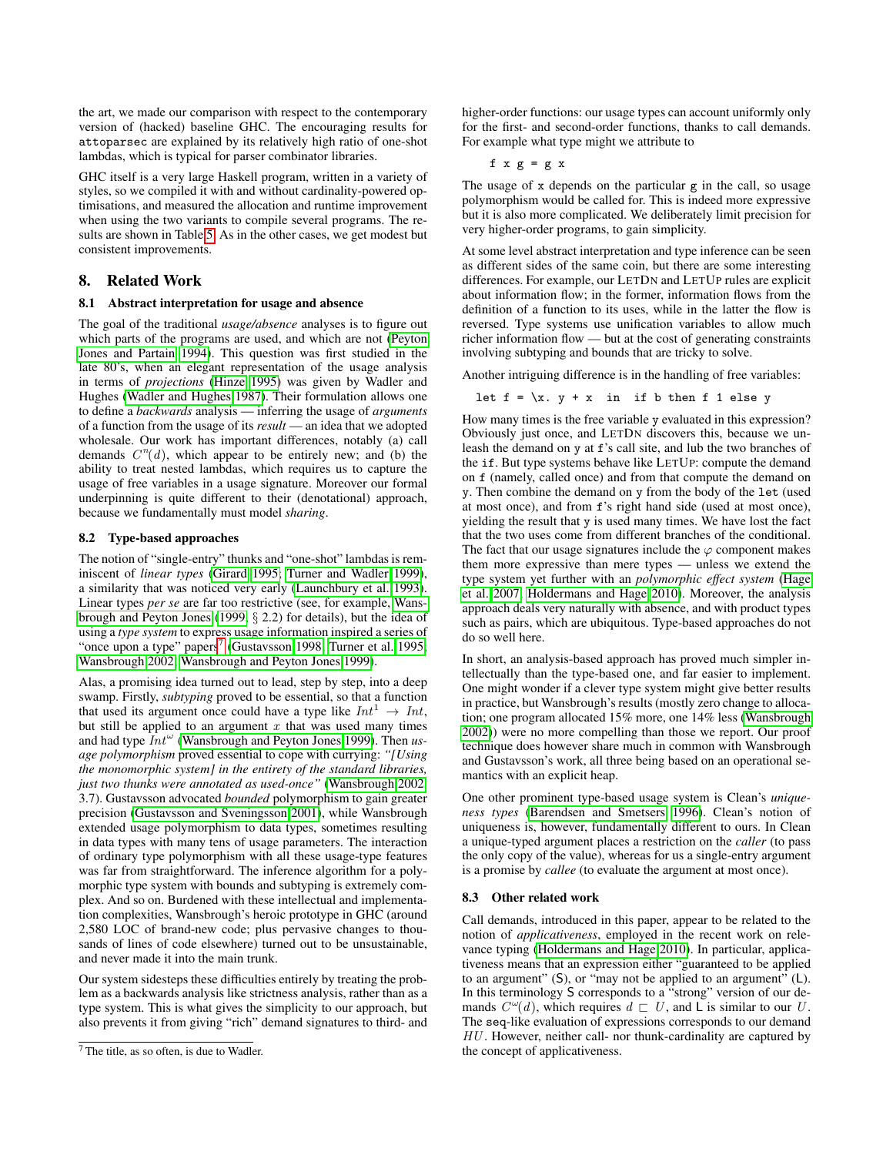the art, we made our comparison with respect to the contemporary version of (hacked) baseline GHC. The encouraging results for attoparsec are explained by its relatively high ratio of one-shot lambdas, which is typical for parser combinator libraries.

GHC itself is a very large Haskell program, written in a variety of styles, so we compiled it with and without cardinality-powered optimisations, and measured the allocation and runtime improvement when using the two variants to compile several programs. The results are shown in Table [5.](#page-10-7) As in the other cases, we get modest but consistent improvements.

# <span id="page-11-0"></span>8. Related Work

## 8.1 Abstract interpretation for usage and absence

The goal of the traditional *usage/absence* analyses is to figure out which parts of the programs are used, and which are not [\(Peyton](#page-12-3) [Jones and Partain 1994\)](#page-12-3). This question was first studied in the late 80's, when an elegant representation of the usage analysis in terms of *projections* [\(Hinze 1995\)](#page-12-13) was given by Wadler and Hughes [\(Wadler and Hughes 1987\)](#page-12-14). Their formulation allows one to define a *backwards* analysis — inferring the usage of *arguments* of a function from the usage of its *result* — an idea that we adopted wholesale. Our work has important differences, notably (a) call demands  $C<sup>n</sup>(d)$ , which appear to be entirely new; and (b) the ability to treat nested lambdas, which requires us to capture the usage of free variables in a usage signature. Moreover our formal underpinning is quite different to their (denotational) approach, because we fundamentally must model *sharing*.

# 8.2 Type-based approaches

The notion of "single-entry" thunks and "one-shot" lambdas is reminiscent of *linear types* [\(Girard 1995;](#page-12-15) [Turner and Wadler 1999\)](#page-12-16), a similarity that was noticed very early [\(Launchbury et al. 1993\)](#page-12-17). Linear types *per se* are far too restrictive (see, for example, [Wans](#page-12-18)[brough and Peyton Jones](#page-12-18) [\(1999,](#page-12-18) § 2.2) for details), but the idea of using a *type system* to express usage information inspired a series of "once upon a type" papers<sup>[7](#page-11-1)</sup> [\(Gustavsson 1998;](#page-12-19) [Turner et al. 1995;](#page-12-20) [Wansbrough 2002;](#page-12-21) [Wansbrough and Peyton Jones 1999\)](#page-12-18).

Alas, a promising idea turned out to lead, step by step, into a deep swamp. Firstly, *subtyping* proved to be essential, so that a function that used its argument once could have a type like  $Int^1 \rightarrow Int$ , but still be applied to an argument  $x$  that was used many times and had type  $Int^{\omega}$  [\(Wansbrough and Peyton Jones 1999\)](#page-12-18). Then *usage polymorphism* proved essential to cope with currying: *"[Using the monomorphic system] in the entirety of the standard libraries, just two thunks were annotated as used-once"* [\(Wansbrough 2002,](#page-12-21) 3.7). Gustavsson advocated *bounded* polymorphism to gain greater precision [\(Gustavsson and Sveningsson 2001\)](#page-12-22), while Wansbrough extended usage polymorphism to data types, sometimes resulting in data types with many tens of usage parameters. The interaction of ordinary type polymorphism with all these usage-type features was far from straightforward. The inference algorithm for a polymorphic type system with bounds and subtyping is extremely complex. And so on. Burdened with these intellectual and implementation complexities, Wansbrough's heroic prototype in GHC (around 2,580 LOC of brand-new code; plus pervasive changes to thousands of lines of code elsewhere) turned out to be unsustainable, and never made it into the main trunk.

Our system sidesteps these difficulties entirely by treating the problem as a backwards analysis like strictness analysis, rather than as a type system. This is what gives the simplicity to our approach, but also prevents it from giving "rich" demand signatures to third- and higher-order functions: our usage types can account uniformly only for the first- and second-order functions, thanks to call demands. For example what type might we attribute to

f  $x g = g x$ 

The usage of x depends on the particular g in the call, so usage polymorphism would be called for. This is indeed more expressive but it is also more complicated. We deliberately limit precision for very higher-order programs, to gain simplicity.

At some level abstract interpretation and type inference can be seen as different sides of the same coin, but there are some interesting differences. For example, our LETDN and LETUP rules are explicit about information flow; in the former, information flows from the definition of a function to its uses, while in the latter the flow is reversed. Type systems use unification variables to allow much richer information flow — but at the cost of generating constraints involving subtyping and bounds that are tricky to solve.

Another intriguing difference is in the handling of free variables:

let 
$$
f = \x, y + x
$$
 in if b then f 1 else y

How many times is the free variable y evaluated in this expression? Obviously just once, and LETDN discovers this, because we unleash the demand on y at f's call site, and lub the two branches of the if. But type systems behave like LETUP: compute the demand on f (namely, called once) and from that compute the demand on y. Then combine the demand on y from the body of the let (used at most once), and from f's right hand side (used at most once), yielding the result that y is used many times. We have lost the fact that the two uses come from different branches of the conditional. The fact that our usage signatures include the  $\varphi$  component makes them more expressive than mere types — unless we extend the type system yet further with an *polymorphic effect system* [\(Hage](#page-12-23) [et al. 2007;](#page-12-23) [Holdermans and Hage 2010\)](#page-12-24). Moreover, the analysis approach deals very naturally with absence, and with product types such as pairs, which are ubiquitous. Type-based approaches do not do so well here.

In short, an analysis-based approach has proved much simpler intellectually than the type-based one, and far easier to implement. One might wonder if a clever type system might give better results in practice, but Wansbrough's results (mostly zero change to allocation; one program allocated 15% more, one 14% less [\(Wansbrough](#page-12-21) [2002\)](#page-12-21)) were no more compelling than those we report. Our proof technique does however share much in common with Wansbrough and Gustavsson's work, all three being based on an operational semantics with an explicit heap.

One other prominent type-based usage system is Clean's *uniqueness types* [\(Barendsen and Smetsers 1996\)](#page-12-25). Clean's notion of uniqueness is, however, fundamentally different to ours. In Clean a unique-typed argument places a restriction on the *caller* (to pass the only copy of the value), whereas for us a single-entry argument is a promise by *callee* (to evaluate the argument at most once).

## 8.3 Other related work

Call demands, introduced in this paper, appear to be related to the notion of *applicativeness*, employed in the recent work on relevance typing [\(Holdermans and Hage 2010\)](#page-12-24). In particular, applicativeness means that an expression either "guaranteed to be applied to an argument" (S), or "may not be applied to an argument" (L). In this terminology S corresponds to a "strong" version of our demands  $C^{\omega}(d)$ , which requires  $d \subset U$ , and L is similar to our U. The seq-like evaluation of expressions corresponds to our demand  $HU$ . However, neither call- nor thunk-cardinality are captured by the concept of applicativeness.

<span id="page-11-1"></span><sup>7</sup> The title, as so often, is due to Wadler.